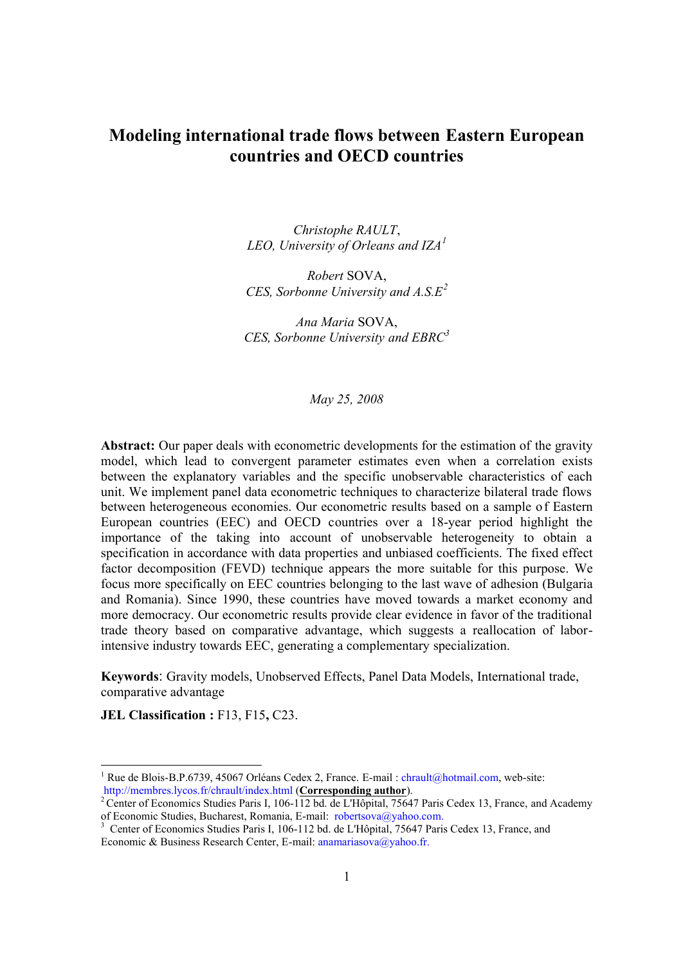# **Modeling international trade flows between Eastern European countries and OECD countries**

*Christophe RAULT*, *LEO, University of Orleans and IZA<sup>1</sup>*

*Robert* SOVA, *CES, Sorbonne University and A.S.E<sup>2</sup>*

*Ana Maria* SOVA, *CES, Sorbonne University and EBRC<sup>3</sup>*

*May 25, 2008*

**Abstract:** Our paper deals with econometric developments for the estimation of the gravity model, which lead to convergent parameter estimates even when a correlation exists between the explanatory variables and the specific unobservable characteristics of each unit. We implement panel data econometric techniques to characterize bilateral trade flows between heterogeneous economies. Our econometric results based on a sample of Eastern European countries (EEC) and OECD countries over a 18-year period highlight the importance of the taking into account of unobservable heterogeneity to obtain a specification in accordance with data properties and unbiased coefficients. The fixed effect factor decomposition (FEVD) technique appears the more suitable for this purpose. We focus more specifically on EEC countries belonging to the last wave of adhesion (Bulgaria and Romania). Since 1990, these countries have moved towards a market economy and more democracy. Our econometric results provide clear evidence in favor of the traditional trade theory based on comparative advantage, which suggests a reallocation of laborintensive industry towards EEC, generating a complementary specialization.

**Keywords**: Gravity models, Unobserved Effects, Panel Data Models, International trade, comparative advantage

**JEL Classification :** F13, F15**,** C23.

<sup>&</sup>lt;sup>1</sup> Rue de Blois-B.P.6739, 45067 Orléans Cedex 2, France. E-mail : chrault@hotmail.com, web-site: http://membres.lycos.fr/chrault/index.html (**Corresponding author**).

<sup>&</sup>lt;sup>2</sup> Center of Economics Studies Paris I, 106-112 bd. de L'Hôpital, 75647 Paris Cedex 13, France, and Academy of Economic Studies, Bucharest, Romania, E-mail: robertsova@yahoo.com.

<sup>3</sup> Center of Economics Studies Paris I, 106-112 bd. de L'Hôpital, 75647 Paris Cedex 13, France, and Economic & Business Research Center, E-mail: anamariasova@yahoo.fr.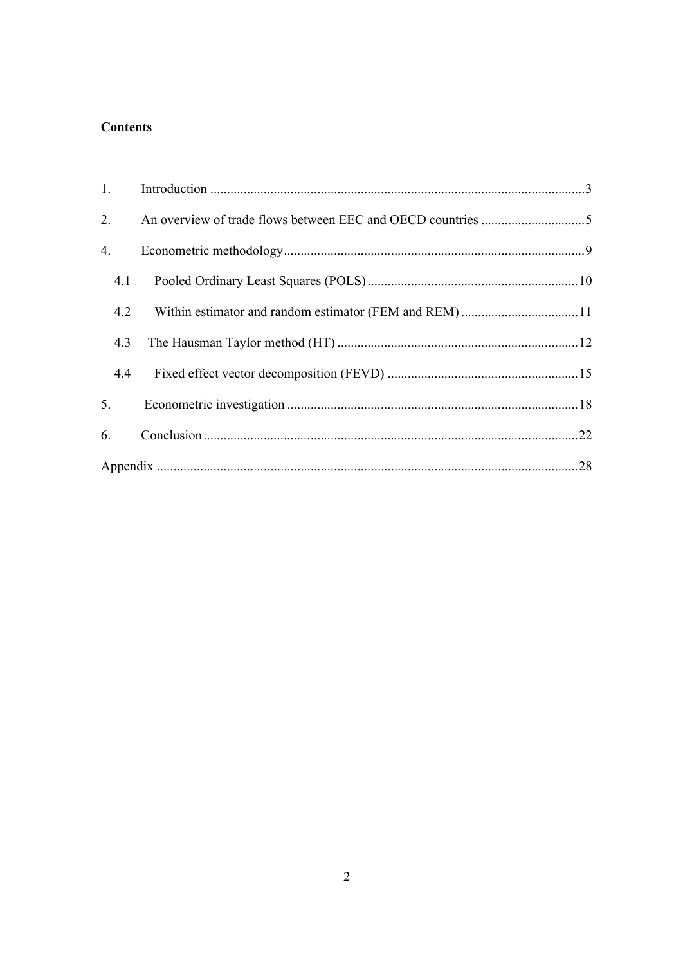# **Contents**

| 1.  |  |
|-----|--|
| 2.  |  |
| 4.  |  |
| 4.1 |  |
| 4.2 |  |
| 4.3 |  |
| 4.4 |  |
| 5.  |  |
| 6.  |  |
|     |  |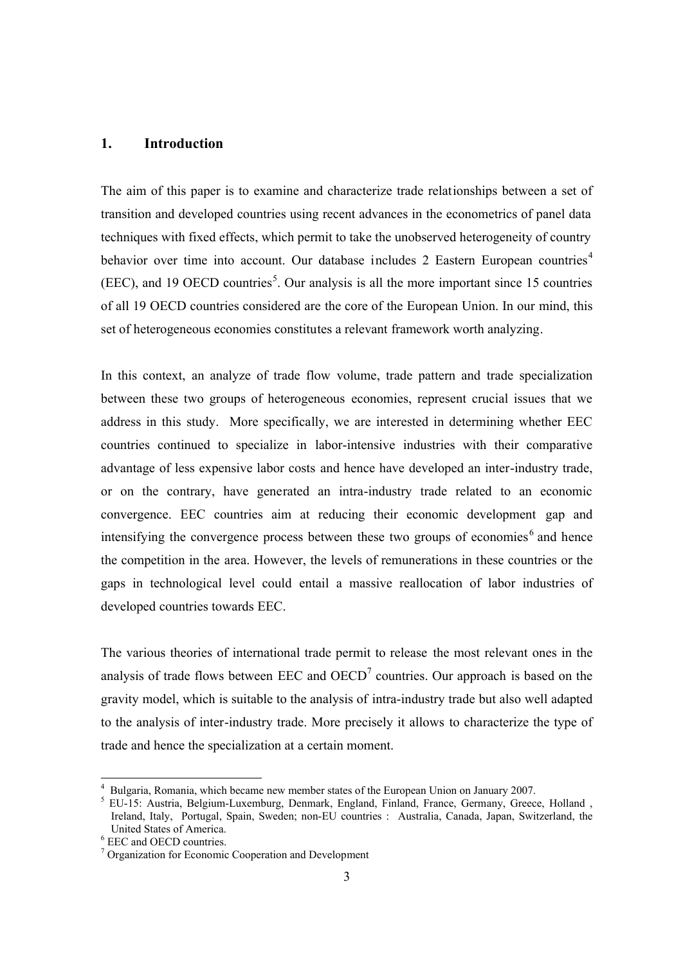### **1. Introduction**

The aim of this paper is to examine and characterize trade relationships between a set of transition and developed countries using recent advances in the econometrics of panel data techniques with fixed effects, which permit to take the unobserved heterogeneity of country behavior over time into account. Our database includes 2 Eastern European countries<sup>4</sup>  $(EEC)$ , and 19 OECD countries<sup>5</sup>. Our analysis is all the more important since 15 countries of all 19 OECD countries considered are the core of the European Union. In our mind, this set of heterogeneous economies constitutes a relevant framework worth analyzing.

In this context, an analyze of trade flow volume, trade pattern and trade specialization between these two groups of heterogeneous economies, represent crucial issues that we address in this study. More specifically, we are interested in determining whether EEC countries continued to specialize in labor-intensive industries with their comparative advantage of less expensive labor costs and hence have developed an inter-industry trade, or on the contrary, have generated an intra-industry trade related to an economic convergence. EEC countries aim at reducing their economic development gap and intensifying the convergence process between these two groups of economies $<sup>6</sup>$  and hence</sup> the competition in the area. However, the levels of remunerations in these countries or the gaps in technological level could entail a massive reallocation of labor industries of developed countries towards EEC.

The various theories of international trade permit to release the most relevant ones in the analysis of trade flows between  $EEC$  and  $OECD<sup>7</sup>$  countries. Our approach is based on the gravity model, which is suitable to the analysis of intra-industry trade but also well adapted to the analysis of inter-industry trade. More precisely it allows to characterize the type of trade and hence the specialization at a certain moment.

<sup>&</sup>lt;sup>4</sup> Bulgaria, Romania, which became new member states of the European Union on January 2007.

<sup>5</sup> EU-15: Austria, Belgium-Luxemburg, Denmark, England, Finland, France, Germany, Greece, Holland , Ireland, Italy, Portugal, Spain, Sweden; non-EU countries : Australia, Canada, Japan, Switzerland, the United States of America.

<sup>6</sup> EEC and OECD countries.

<sup>&</sup>lt;sup>7</sup> Organization for Economic Cooperation and Development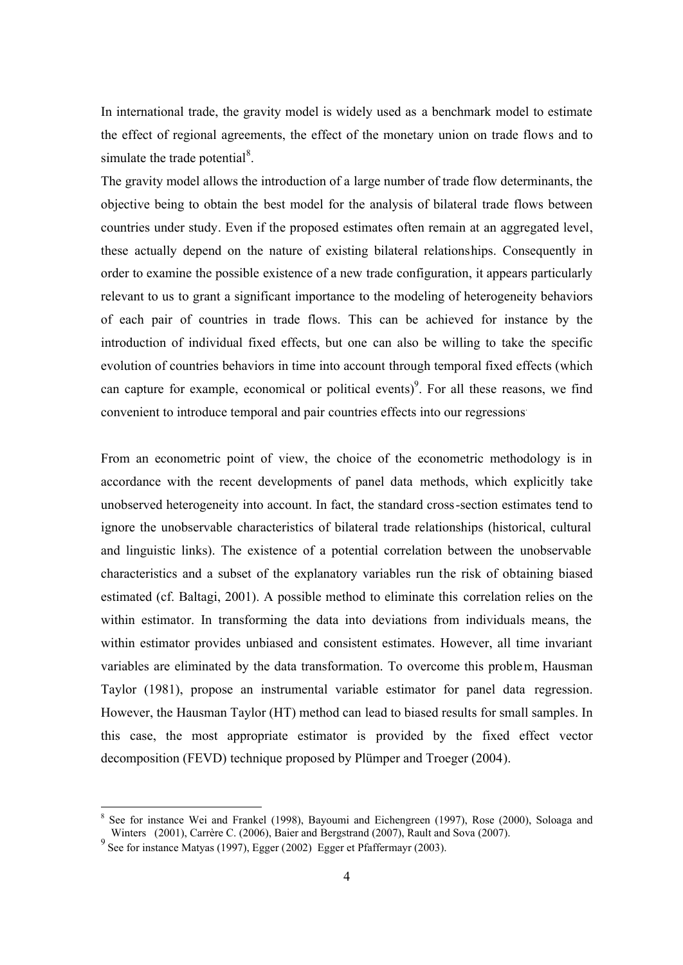In international trade, the gravity model is widely used as a benchmark model to estimate the effect of regional agreements, the effect of the monetary union on trade flows and to simulate the trade potential $8$ .

The gravity model allows the introduction of a large number of trade flow determinants, the objective being to obtain the best model for the analysis of bilateral trade flows between countries under study. Even if the proposed estimates often remain at an aggregated level, these actually depend on the nature of existing bilateral relationships. Consequently in order to examine the possible existence of a new trade configuration, it appears particularly relevant to us to grant a significant importance to the modeling of heterogeneity behaviors of each pair of countries in trade flows. This can be achieved for instance by the introduction of individual fixed effects, but one can also be willing to take the specific evolution of countries behaviors in time into account through temporal fixed effects (which can capture for example, economical or political events)<sup>9</sup>. For all these reasons, we find convenient to introduce temporal and pair countries effects into our regressions .

From an econometric point of view, the choice of the econometric methodology is in accordance with the recent developments of panel data methods, which explicitly take unobserved heterogeneity into account. In fact, the standard cross-section estimates tend to ignore the unobservable characteristics of bilateral trade relationships (historical, cultural and linguistic links). The existence of a potential correlation between the unobservable characteristics and a subset of the explanatory variables run the risk of obtaining biased estimated (cf. Baltagi, 2001). A possible method to eliminate this correlation relies on the within estimator. In transforming the data into deviations from individuals means, the within estimator provides unbiased and consistent estimates. However, all time invariant variables are eliminated by the data transformation. To overcome this problem, Hausman Taylor (1981), propose an instrumental variable estimator for panel data regression. However, the Hausman Taylor (HT) method can lead to biased results for small samples. In this case, the most appropriate estimator is provided by the fixed effect vector decomposition (FEVD) technique proposed by Plümper and Troeger (2004).

<sup>8</sup> See for instance Wei and Frankel (1998), Bayoumi and Eichengreen (1997), Rose (2000), Soloaga and Winters (2001), Carrère C. (2006), Baier and Bergstrand (2007), Rault and Sova (2007).

<sup>&</sup>lt;sup>9</sup> See for instance Matyas (1997), Egger (2002) Egger et Pfaffermayr (2003).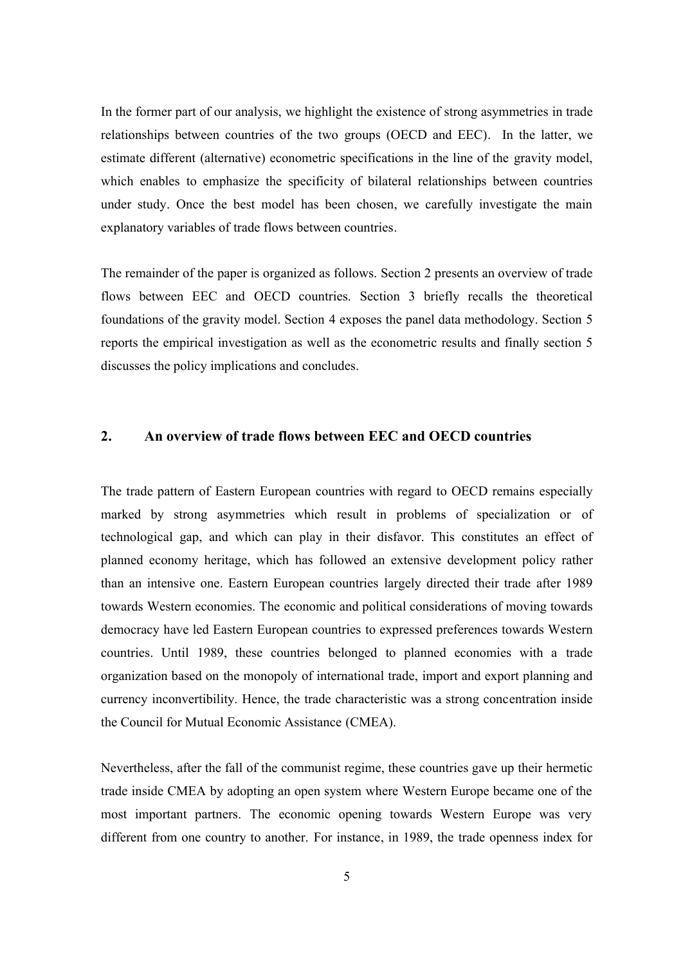In the former part of our analysis, we highlight the existence of strong asymmetries in trade relationships between countries of the two groups (OECD and EEC). In the latter, we estimate different (alternative) econometric specifications in the line of the gravity model, which enables to emphasize the specificity of bilateral relationships between countries under study. Once the best model has been chosen, we carefully investigate the main explanatory variables of trade flows between countries.

The remainder of the paper is organized as follows. Section 2 presents an overview of trade flows between EEC and OECD countries. Section 3 briefly recalls the theoretical foundations of the gravity model. Section 4 exposes the panel data methodology. Section 5 reports the empirical investigation as well as the econometric results and finally section 5 discusses the policy implications and concludes.

### **2. An overview of trade flows between EEC and OECD countries**

The trade pattern of Eastern European countries with regard to OECD remains especially marked by strong asymmetries which result in problems of specialization or of technological gap, and which can play in their disfavor. This constitutes an effect of planned economy heritage, which has followed an extensive development policy rather than an intensive one. Eastern European countries largely directed their trade after 1989 towards Western economies. The economic and political considerations of moving towards democracy have led Eastern European countries to expressed preferences towards Western countries. Until 1989, these countries belonged to planned economies with a trade organization based on the monopoly of international trade, import and export planning and currency inconvertibility. Hence, the trade characteristic was a strong concentration inside the Council for Mutual Economic Assistance (CMEA).

Nevertheless, after the fall of the communist regime, these countries gave up their hermetic trade inside CMEA by adopting an open system where Western Europe became one of the most important partners. The economic opening towards Western Europe was very different from one country to another. For instance, in 1989, the trade openness index for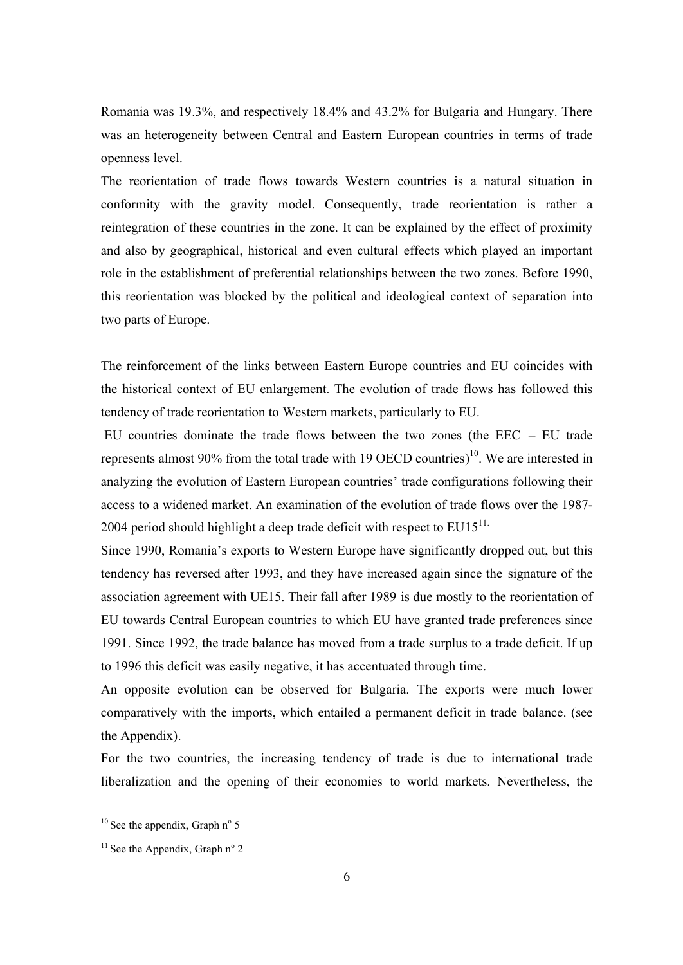Romania was 19.3%, and respectively 18.4% and 43.2% for Bulgaria and Hungary. There was an heterogeneity between Central and Eastern European countries in terms of trade openness level.

The reorientation of trade flows towards Western countries is a natural situation in conformity with the gravity model. Consequently, trade reorientation is rather a reintegration of these countries in the zone. It can be explained by the effect of proximity and also by geographical, historical and even cultural effects which played an important role in the establishment of preferential relationships between the two zones. Before 1990, this reorientation was blocked by the political and ideological context of separation into two parts of Europe.

The reinforcement of the links between Eastern Europe countries and EU coincides with the historical context of EU enlargement. The evolution of trade flows has followed this tendency of trade reorientation to Western markets, particularly to EU.

EU countries dominate the trade flows between the two zones (the EEC – EU trade represents almost 90% from the total trade with 19 OECD countries)<sup>10</sup>. We are interested in analyzing the evolution of Eastern European countries' trade configurations following their access to a widened market. An examination of the evolution of trade flows over the 1987- 2004 period should highlight a deep trade deficit with respect to  $EUI<sub>1</sub>$ <sup>11.</sup>

Since 1990, Romania's exports to Western Europe have significantly dropped out, but this tendency has reversed after 1993, and they have increased again since the signature of the association agreement with UE15. Their fall after 1989 is due mostly to the reorientation of EU towards Central European countries to which EU have granted trade preferences since 1991. Since 1992, the trade balance has moved from a trade surplus to a trade deficit. If up to 1996 this deficit was easily negative, it has accentuated through time.

An opposite evolution can be observed for Bulgaria. The exports were much lower comparatively with the imports, which entailed a permanent deficit in trade balance. (see the Appendix).

For the two countries, the increasing tendency of trade is due to international trade liberalization and the opening of their economies to world markets. Nevertheless, the

 $10$  See the appendix, Graph n° 5

 $11$  See the Appendix, Graph n° 2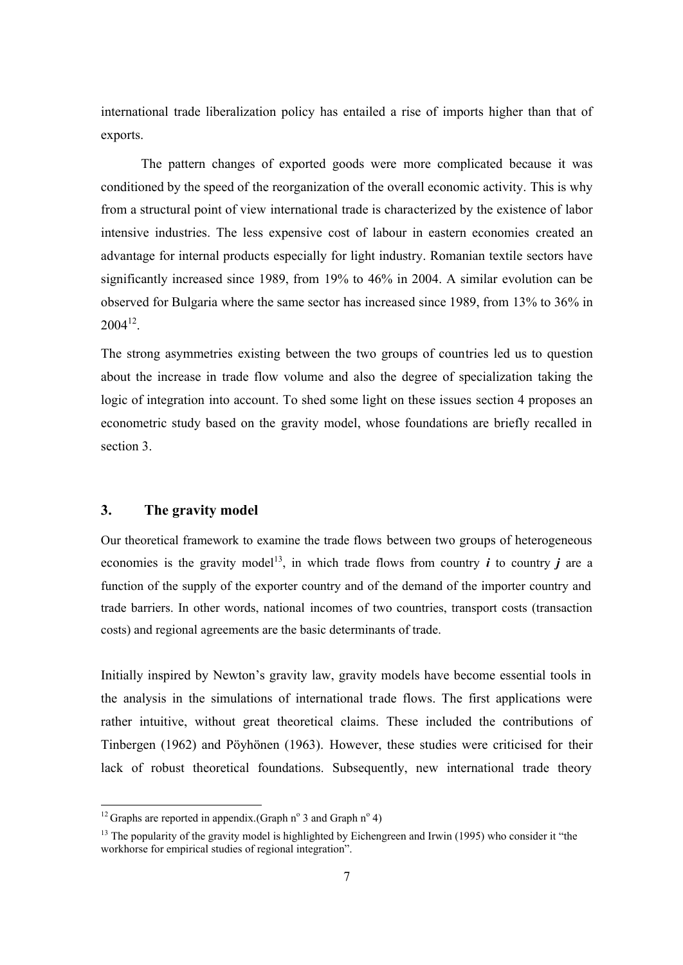international trade liberalization policy has entailed a rise of imports higher than that of exports.

The pattern changes of exported goods were more complicated because it was conditioned by the speed of the reorganization of the overall economic activity. This is why from a structural point of view international trade is characterized by the existence of labor intensive industries. The less expensive cost of labour in eastern economies created an advantage for internal products especially for light industry. Romanian textile sectors have significantly increased since 1989, from 19% to 46% in 2004. A similar evolution can be observed for Bulgaria where the same sector has increased since 1989, from 13% to 36% in  $2004^{12}$ .

The strong asymmetries existing between the two groups of countries led us to question about the increase in trade flow volume and also the degree of specialization taking the logic of integration into account. To shed some light on these issues section 4 proposes an econometric study based on the gravity model, whose foundations are briefly recalled in section 3.

# **3. The gravity model**

-

Our theoretical framework to examine the trade flows between two groups of heterogeneous economies is the gravity model<sup>13</sup>, in which trade flows from country  $\boldsymbol{i}$  to country  $\boldsymbol{j}$  are a function of the supply of the exporter country and of the demand of the importer country and trade barriers. In other words, national incomes of two countries, transport costs (transaction costs) and regional agreements are the basic determinants of trade.

Initially inspired by Newton's gravity law, gravity models have become essential tools in the analysis in the simulations of international trade flows. The first applications were rather intuitive, without great theoretical claims. These included the contributions of Tinbergen (1962) and Pöyhönen (1963). However, these studies were criticised for their lack of robust theoretical foundations. Subsequently, new international trade theory

<sup>&</sup>lt;sup>12</sup> Graphs are reported in appendix. (Graph  $n^{\circ}$  3 and Graph  $n^{\circ}$  4)

<sup>&</sup>lt;sup>13</sup> The popularity of the gravity model is highlighted by Eichengreen and Irwin (1995) who consider it "the workhorse for empirical studies of regional integration".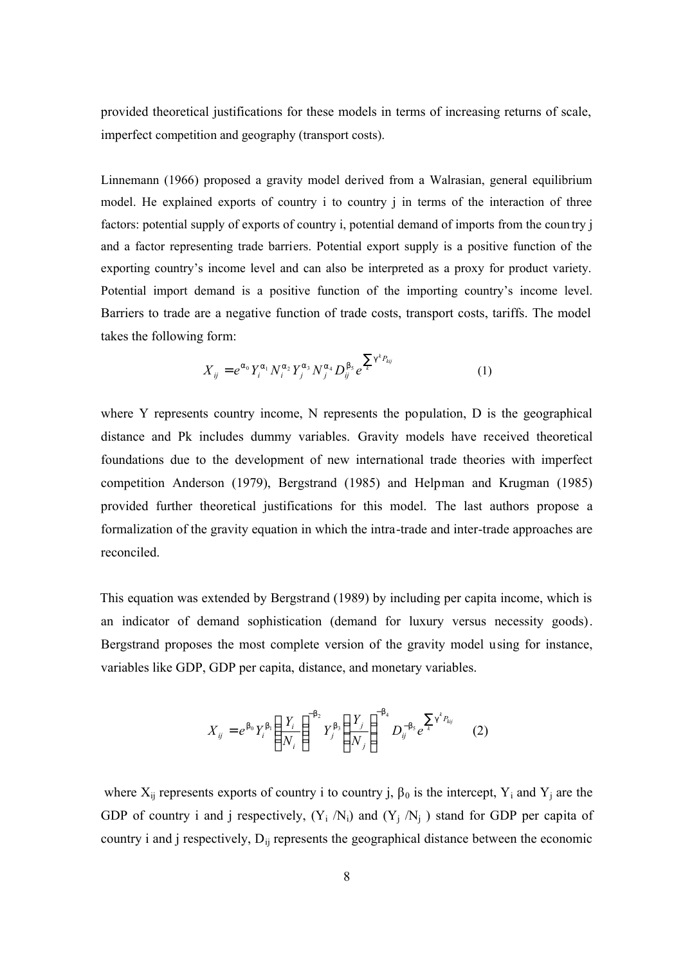provided theoretical justifications for these models in terms of increasing returns of scale, imperfect competition and geography (transport costs).

Linnemann (1966) proposed a gravity model derived from a Walrasian, general equilibrium model. He explained exports of country i to country j in terms of the interaction of three factors: potential supply of exports of country i, potential demand of imports from the coun try j and a factor representing trade barriers. Potential export supply is a positive function of the exporting country's income level and can also be interpreted as a proxy for product variety. Potential import demand is a positive function of the importing country's income level. Barriers to trade are a negative function of trade costs, transport costs, tariffs. The model takes the following form:

$$
X_{ij} = e^{a_0} Y_i^{a_1} N_i^{a_2} Y_j^{a_3} N_j^{a_4} D_{ij}^{b_5} e^{\sum_k q^k P_{kij}}
$$
(1)

where Y represents country income, N represents the population, D is the geographical distance and Pk includes dummy variables. Gravity models have received theoretical foundations due to the development of new international trade theories with imperfect competition Anderson (1979), Bergstrand (1985) and Helpman and Krugman (1985) provided further theoretical justifications for this model. The last authors propose a formalization of the gravity equation in which the intra-trade and inter-trade approaches are reconciled.

This equation was extended by Bergstrand (1989) by including per capita income, which is an indicator of demand sophistication (demand for luxury versus necessity goods). Bergstrand proposes the most complete version of the gravity model using for instance, variables like GDP, GDP per capita, distance, and monetary variables.

$$
X_{ij} = e^{b_0} Y_i^{b_1} \left(\frac{Y_i}{N_i}\right)^{-b_2} Y_j^{b_3} \left(\frac{Y_j}{N_j}\right)^{-b_4} D_{ij}^{-b_5} e^{\sum_{k} g^k P_{kj}} \qquad (2)
$$

where  $X_{ij}$  represents exports of country i to country j,  $\beta_0$  is the intercept,  $Y_i$  and  $Y_j$  are the GDP of country i and j respectively,  $(Y_i / N_i)$  and  $(Y_i / N_i)$  stand for GDP per capita of country i and j respectively,  $D_{ii}$  represents the geographical distance between the economic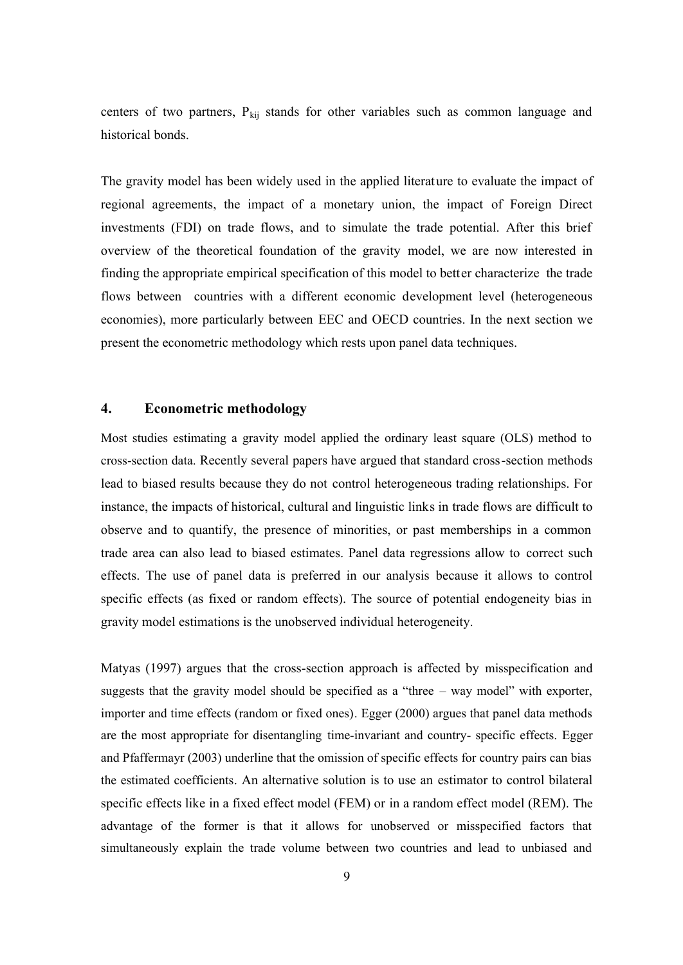centers of two partners,  $P_{kij}$  stands for other variables such as common language and historical bonds.

The gravity model has been widely used in the applied literature to evaluate the impact of regional agreements, the impact of a monetary union, the impact of Foreign Direct investments (FDI) on trade flows, and to simulate the trade potential. After this brief overview of the theoretical foundation of the gravity model, we are now interested in finding the appropriate empirical specification of this model to better characterize the trade flows between countries with a different economic development level (heterogeneous economies), more particularly between EEC and OECD countries. In the next section we present the econometric methodology which rests upon panel data techniques.

### **4. Econometric methodology**

Most studies estimating a gravity model applied the ordinary least square (OLS) method to cross-section data. Recently several papers have argued that standard cross-section methods lead to biased results because they do not control heterogeneous trading relationships. For instance, the impacts of historical, cultural and linguistic links in trade flows are difficult to observe and to quantify, the presence of minorities, or past memberships in a common trade area can also lead to biased estimates. Panel data regressions allow to correct such effects. The use of panel data is preferred in our analysis because it allows to control specific effects (as fixed or random effects). The source of potential endogeneity bias in gravity model estimations is the unobserved individual heterogeneity.

Matyas (1997) argues that the cross-section approach is affected by misspecification and suggests that the gravity model should be specified as a "three – way model" with exporter, importer and time effects (random or fixed ones). Egger (2000) argues that panel data methods are the most appropriate for disentangling time-invariant and country- specific effects. Egger and Pfaffermayr (2003) underline that the omission of specific effects for country pairs can bias the estimated coefficients. An alternative solution is to use an estimator to control bilateral specific effects like in a fixed effect model (FEM) or in a random effect model (REM). The advantage of the former is that it allows for unobserved or misspecified factors that simultaneously explain the trade volume between two countries and lead to unbiased and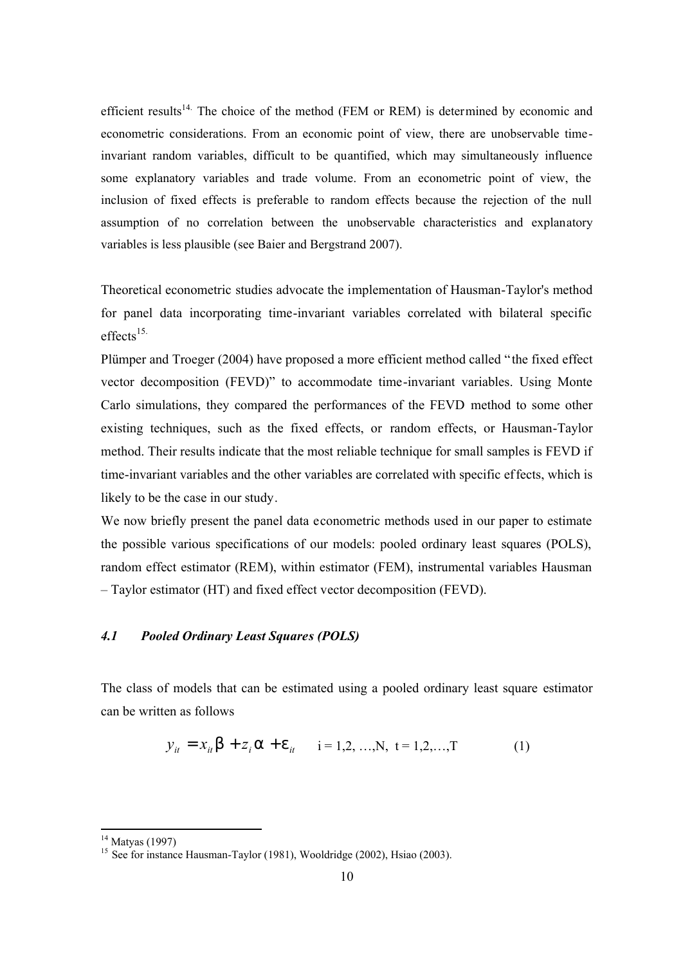efficient results<sup>14.</sup> The choice of the method (FEM or REM) is determined by economic and econometric considerations. From an economic point of view, there are unobservable timeinvariant random variables, difficult to be quantified, which may simultaneously influence some explanatory variables and trade volume. From an econometric point of view, the inclusion of fixed effects is preferable to random effects because the rejection of the null assumption of no correlation between the unobservable characteristics and explanatory variables is less plausible (see Baier and Bergstrand 2007).

Theoretical econometric studies advocate the implementation of Hausman-Taylor's method for panel data incorporating time-invariant variables correlated with bilateral specific  $effects$ <sup>15.</sup>

Plümper and Troeger (2004) have proposed a more efficient method called "the fixed effect vector decomposition (FEVD)" to accommodate time-invariant variables. Using Monte Carlo simulations, they compared the performances of the FEVD method to some other existing techniques, such as the fixed effects, or random effects, or Hausman-Taylor method. Their results indicate that the most reliable technique for small samples is FEVD if time-invariant variables and the other variables are correlated with specific effects, which is likely to be the case in our study.

We now briefly present the panel data econometric methods used in our paper to estimate the possible various specifications of our models: pooled ordinary least squares (POLS), random effect estimator (REM), within estimator (FEM), instrumental variables Hausman – Taylor estimator (HT) and fixed effect vector decomposition (FEVD).

### *4.1 Pooled Ordinary Least Squares (POLS)*

The class of models that can be estimated using a pooled ordinary least square estimator can be written as follows

$$
y_{it} = x_{it} b + z_i a + e_{it} \t i = 1, 2, ..., N, t = 1, 2, ..., T \t (1)
$$

 $14$  Matyas (1997)

<sup>&</sup>lt;sup>15</sup> See for instance Hausman-Taylor (1981), Wooldridge (2002), Hsiao (2003).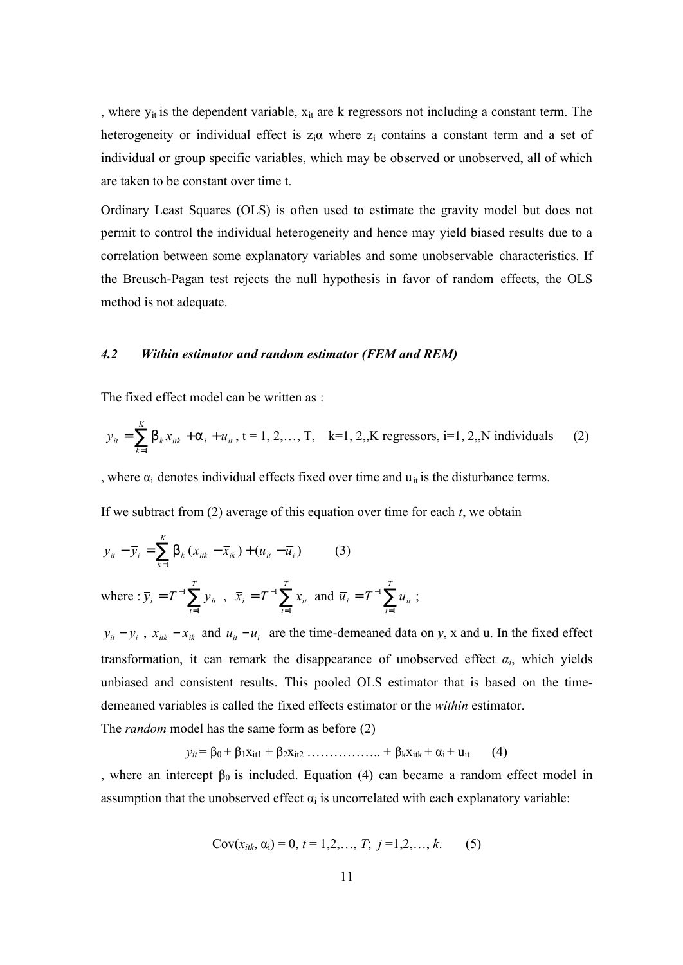, where  $y_{it}$  is the dependent variable,  $x_{it}$  are k regressors not including a constant term. The heterogeneity or individual effect is  $z_i\alpha$  where  $z_i$  contains a constant term and a set of individual or group specific variables, which may be observed or unobserved, all of which are taken to be constant over time t.

Ordinary Least Squares (OLS) is often used to estimate the gravity model but does not permit to control the individual heterogeneity and hence may yield biased results due to a correlation between some explanatory variables and some unobservable characteristics. If the Breusch-Pagan test rejects the null hypothesis in favor of random effects, the OLS method is not adequate.

#### *4.2 Within estimator and random estimator (FEM and REM)*

The fixed effect model can be written as :

$$
y_{it} = \sum_{k=1}^{K} b_k x_{itk} + a_i + u_{it}, t = 1, 2, ..., T, k = 1, 2, K \text{ regressors, } i = 1, 2, N \text{ individuals}
$$
 (2)

, where  $\alpha_i$  denotes individual effects fixed over time and  $u_{it}$  is the disturbance terms.

If we subtract from (2) average of this equation over time for each *t*, we obtain

$$
y_{it} - \overline{y}_i = \sum_{k=1}^{K} b_k (x_{itk} - \overline{x}_{ik}) + (u_{it} - \overline{u}_i)
$$
 (3)

where: 
$$
\overline{y}_i = T^{-1} \sum_{t=1}^T y_{it}
$$
,  $\overline{x}_i = T^{-1} \sum_{t=1}^T x_{it}$  and  $\overline{u}_i = T^{-1} \sum_{t=1}^T u_{it}$ ;

 $y_{it} - \bar{y}_i$ ,  $x_{itk} - \bar{x}_{ik}$  and  $u_{it} - \bar{u}_i$  are the time-demeaned data on *y*, x and u. In the fixed effect transformation, it can remark the disappearance of unobserved effect  $\alpha_i$ , which yields unbiased and consistent results. This pooled OLS estimator that is based on the timedemeaned variables is called the fixed effects estimator or the *within* estimator.

The *random* model has the same form as before (2)

$$
y_{it} = \beta_0 + \beta_1 x_{it1} + \beta_2 x_{it2} \dots \dots \dots \dots \dots + \beta_k x_{itk} + \alpha_i + u_{it} \tag{4}
$$

, where an intercept  $\beta_0$  is included. Equation (4) can became a random effect model in assumption that the unobserved effect  $\alpha_i$  is uncorrelated with each explanatory variable:

$$
Cov(x_{itk}, \alpha_i) = 0, t = 1, 2, ..., T; j = 1, 2, ..., k.
$$
 (5)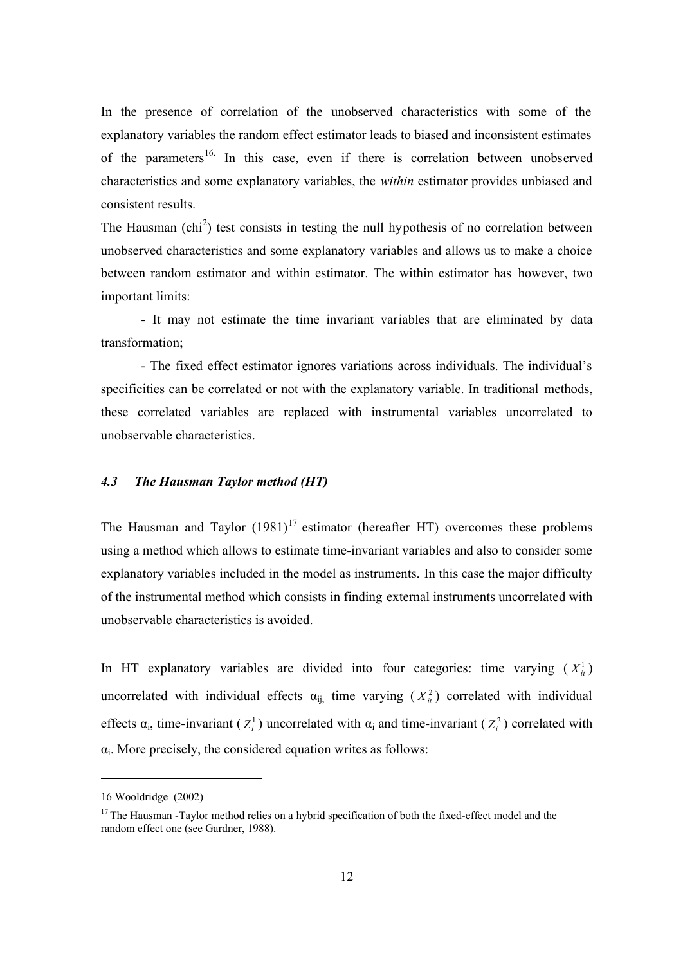In the presence of correlation of the unobserved characteristics with some of the explanatory variables the random effect estimator leads to biased and inconsistent estimates of the parameters<sup>16.</sup> In this case, even if there is correlation between unobserved characteristics and some explanatory variables, the *within* estimator provides unbiased and consistent results.

The Hausman  $\text{(chi}^2)$  test consists in testing the null hypothesis of no correlation between unobserved characteristics and some explanatory variables and allows us to make a choice between random estimator and within estimator. The within estimator has however, two important limits:

- It may not estimate the time invariant variables that are eliminated by data transformation;

- The fixed effect estimator ignores variations across individuals. The individual's specificities can be correlated or not with the explanatory variable. In traditional methods, these correlated variables are replaced with instrumental variables uncorrelated to unobservable characteristics.

### *4.3 The Hausman Taylor method (HT)*

The Hausman and Taylor  $(1981)^{17}$  estimator (hereafter HT) overcomes these problems using a method which allows to estimate time-invariant variables and also to consider some explanatory variables included in the model as instruments. In this case the major difficulty of the instrumental method which consists in finding external instruments uncorrelated with unobservable characteristics is avoided.

In HT explanatory variables are divided into four categories: time varying  $(X^1)$ uncorrelated with individual effects  $\alpha_{ij}$  time varying  $(X_i^2)$  correlated with individual effects  $\alpha_i$ , time-invariant  $(Z_i^1)$  uncorrelated with  $\alpha_i$  and time-invariant  $(Z_i^2)$  correlated with  $\alpha_i$ . More precisely, the considered equation writes as follows:

<sup>16</sup> Wooldridge (2002)

<sup>&</sup>lt;sup>17</sup> The Hausman -Taylor method relies on a hybrid specification of both the fixed-effect model and the random effect one (see Gardner, 1988).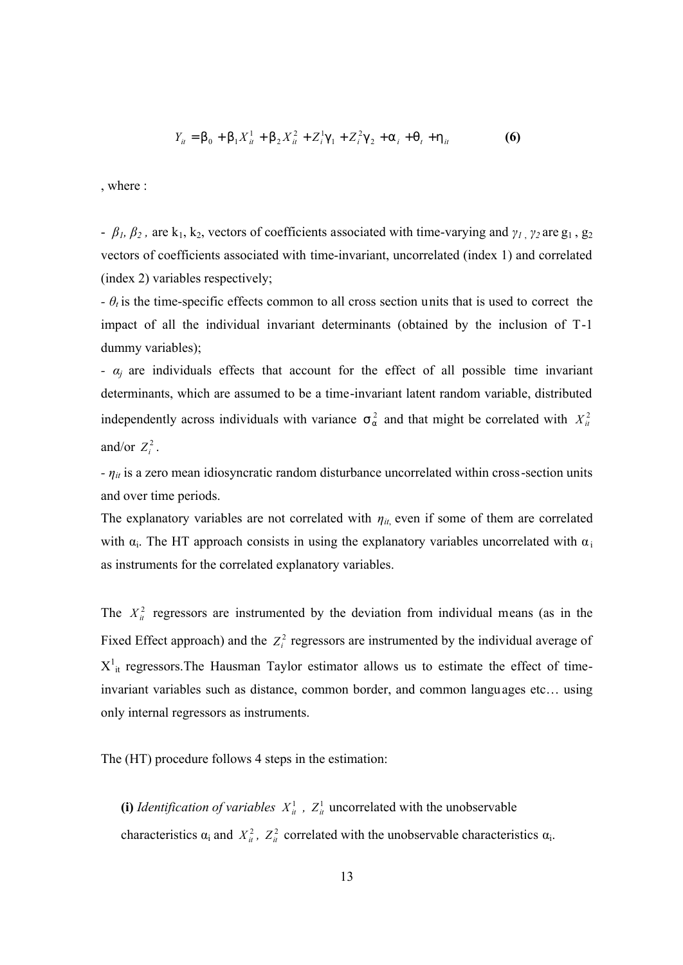$$
Y_{it} = b_0 + b_1 X_{it}^1 + b_2 X_{it}^2 + Z_{i}^1 g_1 + Z_{i}^2 g_2 + a_i + q_t + h_{it}
$$
 (6)

, where :

-  $\beta_1$ ,  $\beta_2$ , are k<sub>1</sub>, k<sub>2</sub>, vectors of coefficients associated with time-varying and  $\gamma_1$ ,  $\gamma_2$  are g<sub>1</sub>, g<sub>2</sub> vectors of coefficients associated with time-invariant, uncorrelated (index 1) and correlated (index 2) variables respectively;

*- θ<sup>t</sup>* is the time-specific effects common to all cross section units that is used to correct the impact of all the individual invariant determinants (obtained by the inclusion of T-1 dummy variables);

*- αj* are individuals effects that account for the effect of all possible time invariant determinants, which are assumed to be a time-invariant latent random variable, distributed independently across individuals with variance  $s_a^2$  and that might be correlated with  $X_i^2$ and/or  $Z_i^2$ .

*- ηit* is a zero mean idiosyncratic random disturbance uncorrelated within cross-section units and over time periods.

The explanatory variables are not correlated with  $\eta_{it}$ , even if some of them are correlated with  $\alpha_i$ . The HT approach consists in using the explanatory variables uncorrelated with  $\alpha_i$ as instruments for the correlated explanatory variables.

The  $X^2_{ii}$  regressors are instrumented by the deviation from individual means (as in the Fixed Effect approach) and the  $Z_i^2$  regressors are instrumented by the individual average of  $X^1_{it}$  regressors. The Hausman Taylor estimator allows us to estimate the effect of timeinvariant variables such as distance, common border, and common languages etc… using only internal regressors as instruments.

The (HT) procedure follows 4 steps in the estimation:

(i) *Identification of variables*  $X_{it}^1$ ,  $Z_{it}^1$  uncorrelated with the unobservable characteristics  $\alpha_i$  and  $X_{it}^2$ ,  $Z_{it}^2$  correlated with the unobservable characteristics  $\alpha_i$ .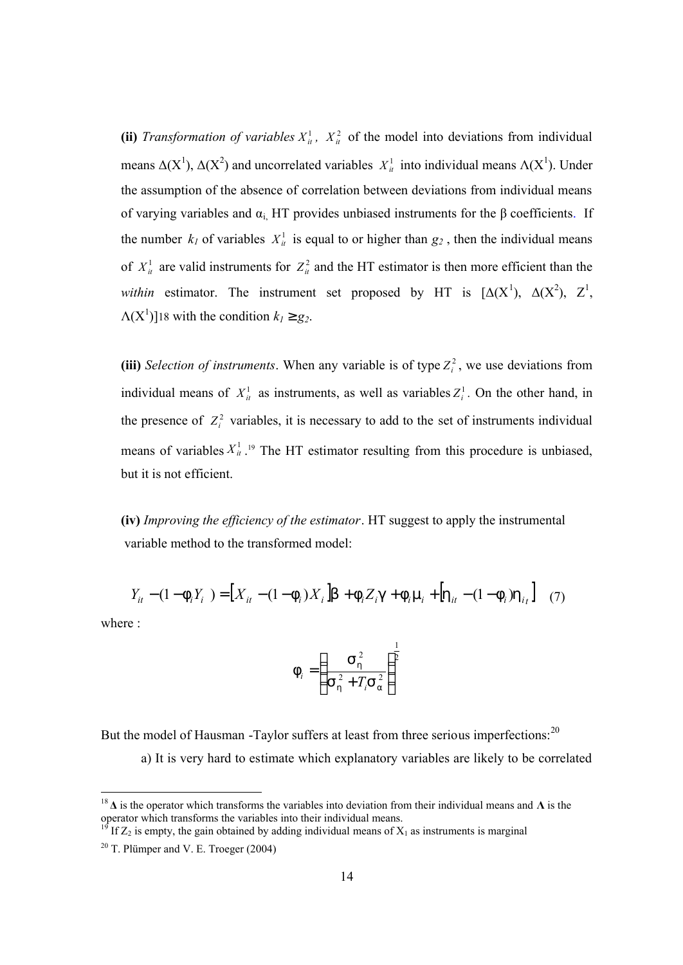(ii) *Transformation of variables*  $X_{it}^1$ ,  $X_{it}^2$  of the model into deviations from individual means  $\Delta(X^1)$ ,  $\Delta(X^2)$  and uncorrelated variables  $X^1_{ii}$  into individual means  $\Delta(X^1)$ . Under the assumption of the absence of correlation between deviations from individual means of varying variables and  $\alpha_i$ , HT provides unbiased instruments for the  $\beta$  coefficients. If the number  $k_l$  of variables  $X^1_{it}$  is equal to or higher than  $g_2$ , then the individual means of  $X^1_{ii}$  are valid instruments for  $Z^2_{ii}$  and the HT estimator is then more efficient than the *within* estimator. The instrument set proposed by HT is [∆(X<sup>1</sup> ), ∆(X<sup>2</sup> ), Z<sup>1</sup> ,  $\Lambda(X^1)$ ]18 with the condition  $k_1 \ge g_2$ .

(iii) *Selection of instruments*. When any variable is of type  $Z_i^2$ , we use deviations from individual means of  $X_{it}^1$  as instruments, as well as variables  $Z_i^1$ . On the other hand, in the presence of  $Z_i^2$  variables, it is necessary to add to the set of instruments individual means of variables  $X_{it}^1$ .<sup>19</sup> The HT estimator resulting from this procedure is unbiased, but it is not efficient.

**(iv)** *Improving the efficiency of the estimator*. HT suggest to apply the instrumental variable method to the transformed model:

$$
Y_{it} - (1 - \mathbf{f}_i Y_i) = [X_{it} - (1 - \mathbf{f}_i) X_i] \mathbf{b} + \mathbf{f}_i Z_i \mathbf{g} + \mathbf{f}_i \mathbf{m}_i + [\mathbf{h}_{it} - (1 - \mathbf{f}_i) \mathbf{h}_{it}] \tag{7}
$$

where :

-

$$
f_{i} = \left(\frac{S_{h}^{2}}{S_{h}^{2} + T_{i}S_{a}^{2}}\right)^{\frac{1}{2}}
$$

But the model of Hausman -Taylor suffers at least from three serious imperfections:<sup>20</sup> a) It is very hard to estimate which explanatory variables are likely to be correlated

<sup>18</sup> **∆** is the operator which transforms the variables into deviation from their individual means and **Λ** is the operator which transforms the variables into their individual means.

If  $Z_2$  is empty, the gain obtained by adding individual means of  $X_1$  as instruments is marginal

 $20$  T. Plümper and V. E. Troeger (2004)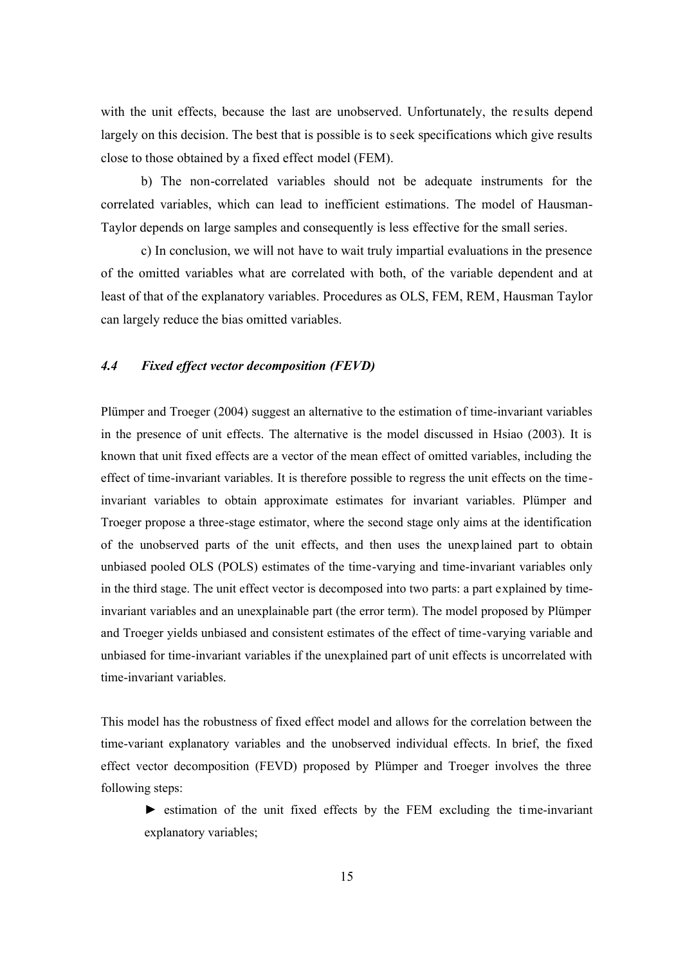with the unit effects, because the last are unobserved. Unfortunately, the results depend largely on this decision. The best that is possible is to seek specifications which give results close to those obtained by a fixed effect model (FEM).

b) The non-correlated variables should not be adequate instruments for the correlated variables, which can lead to inefficient estimations. The model of Hausman-Taylor depends on large samples and consequently is less effective for the small series.

c) In conclusion, we will not have to wait truly impartial evaluations in the presence of the omitted variables what are correlated with both, of the variable dependent and at least of that of the explanatory variables. Procedures as OLS, FEM, REM, Hausman Taylor can largely reduce the bias omitted variables.

#### *4.4 Fixed effect vector decomposition (FEVD)*

Plümper and Troeger (2004) suggest an alternative to the estimation of time-invariant variables in the presence of unit effects. The alternative is the model discussed in Hsiao (2003). It is known that unit fixed effects are a vector of the mean effect of omitted variables, including the effect of time-invariant variables. It is therefore possible to regress the unit effects on the timeinvariant variables to obtain approximate estimates for invariant variables. Plümper and Troeger propose a three-stage estimator, where the second stage only aims at the identification of the unobserved parts of the unit effects, and then uses the unexplained part to obtain unbiased pooled OLS (POLS) estimates of the time-varying and time-invariant variables only in the third stage. The unit effect vector is decomposed into two parts: a part explained by timeinvariant variables and an unexplainable part (the error term). The model proposed by Plümper and Troeger yields unbiased and consistent estimates of the effect of time-varying variable and unbiased for time-invariant variables if the unexplained part of unit effects is uncorrelated with time-invariant variables.

This model has the robustness of fixed effect model and allows for the correlation between the time-variant explanatory variables and the unobserved individual effects. In brief, the fixed effect vector decomposition (FEVD) proposed by Plümper and Troeger involves the three following steps:

► estimation of the unit fixed effects by the FEM excluding the time-invariant explanatory variables;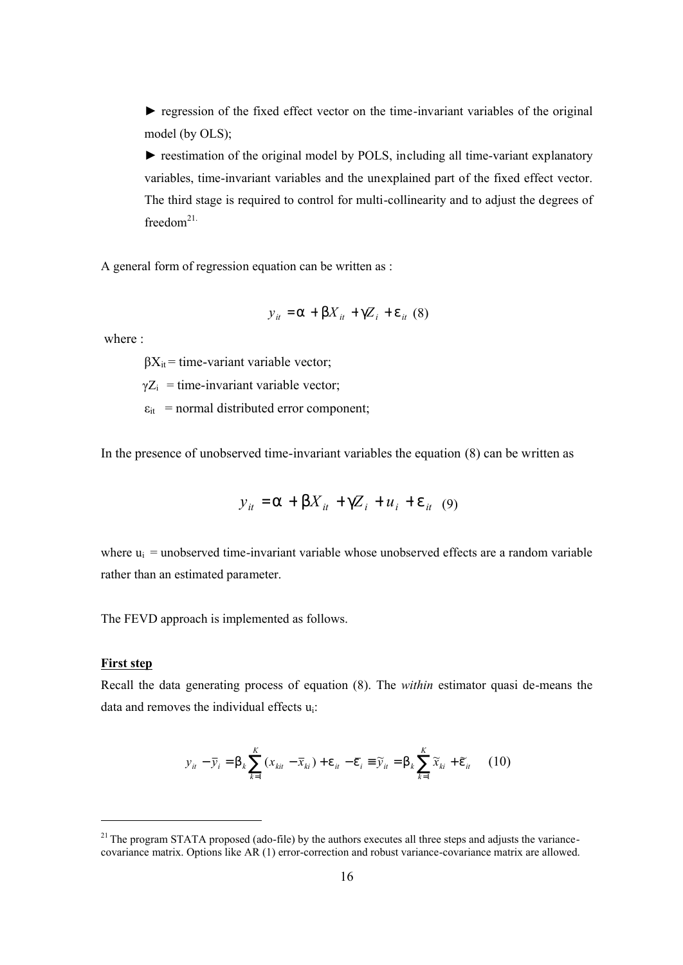► regression of the fixed effect vector on the time-invariant variables of the original model (by OLS);

► reestimation of the original model by POLS, including all time-variant explanatory variables, time-invariant variables and the unexplained part of the fixed effect vector. The third stage is required to control for multi-collinearity and to adjust the degrees of freedom $21$ .

A general form of regression equation can be written as :

$$
y_{it}
$$
 = a + b $X_{it}$  + g $Z_{i}$  + e<sub>it</sub> (8)

where :

 $\beta X_{it}$  = time-variant variable vector;

 $\gamma Z_i$  = time-invariant variable vector;

 $\varepsilon_{it}$  = normal distributed error component;

In the presence of unobserved time-invariant variables the equation (8) can be written as

$$
y_{it} = a + bX_{it} + gZ_i + u_i + e_{it} \quad (9)
$$

where  $u_i$  = unobserved time-invariant variable whose unobserved effects are a random variable rather than an estimated parameter.

The FEVD approach is implemented as follows.

#### **First step**

-

Recall the data generating process of equation (8). The *within* estimator quasi de-means the data and removes the individual effects ui:

$$
y_{it} - \overline{y}_i = b_k \sum_{k=1}^{K} (x_{kit} - \overline{x}_{ki}) + e_{it} - \overline{e}_i \equiv \widetilde{y}_{it} = b_k \sum_{k=1}^{K} \widetilde{x}_{ki} + \widetilde{e}_{it} \qquad (10)
$$

 $21$  The program STATA proposed (ado-file) by the authors executes all three steps and adjusts the variancecovariance matrix. Options like AR (1) error-correction and robust variance-covariance matrix are allowed.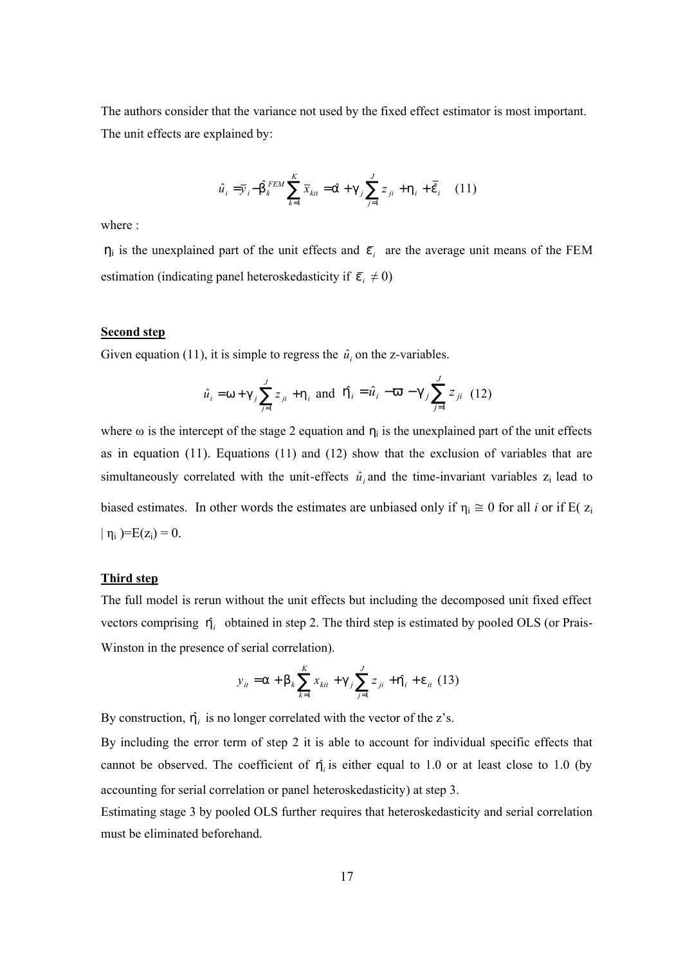The authors consider that the variance not used by the fixed effect estimator is most important. The unit effects are explained by:

$$
\hat{u}_{i} = \bar{y}_{i} - \hat{b}_{k}^{FEM} \sum_{k=1}^{K} \bar{x}_{kit} = \hat{a} + g_{j} \sum_{j=1}^{J} z_{ji} + h_{i} + \bar{e}_{i} \quad (11)
$$

where :

 $\eta_i$  is the unexplained part of the unit effects and  $\bar{e}_i$  are the average unit means of the FEM estimation (indicating panel heteroskedasticity if  $\bar{e}_i \neq 0$ )

#### **Second step**

Given equation (11), it is simple to regress the  $\hat{u}_i$  on the z-variables.

$$
\hat{u}_i = w + g_j \sum_{j=1}^J z_{ji} + h_i
$$
 and  $\hat{h}_i = \hat{u}_i - v - g_j \sum_{j=1}^J z_{ji}$  (12)

where  $\omega$  is the intercept of the stage 2 equation and  $\eta_i$  is the unexplained part of the unit effects as in equation (11). Equations (11) and (12) show that the exclusion of variables that are simultaneously correlated with the unit-effects  $\hat{u}_i$  and the time-invariant variables  $z_i$  lead to biased estimates. In other words the estimates are unbiased only if  $\eta_i \approx 0$  for all *i* or if E( $z_i$  $|\eta_i|$  = E(z<sub>i</sub>) = 0.

#### **Third step**

The full model is rerun without the unit effects but including the decomposed unit fixed effect vectors comprising  $\hat{h}$  obtained in step 2. The third step is estimated by pooled OLS (or Prais-Winston in the presence of serial correlation).

$$
y_{it} = a + b_k \sum_{k=1}^{K} x_{kit} + g_j \sum_{j=1}^{J} z_{ji} + \hat{h}_i + e_{it} (13)
$$

By construction,  $\hat{h}_i$  is no longer correlated with the vector of the z's.

By including the error term of step 2 it is able to account for individual specific effects that cannot be observed. The coefficient of  $h_i$  is either equal to 1.0 or at least close to 1.0 (by accounting for serial correlation or panel heteroskedasticity) at step 3.

Estimating stage 3 by pooled OLS further requires that heteroskedasticity and serial correlation must be eliminated beforehand.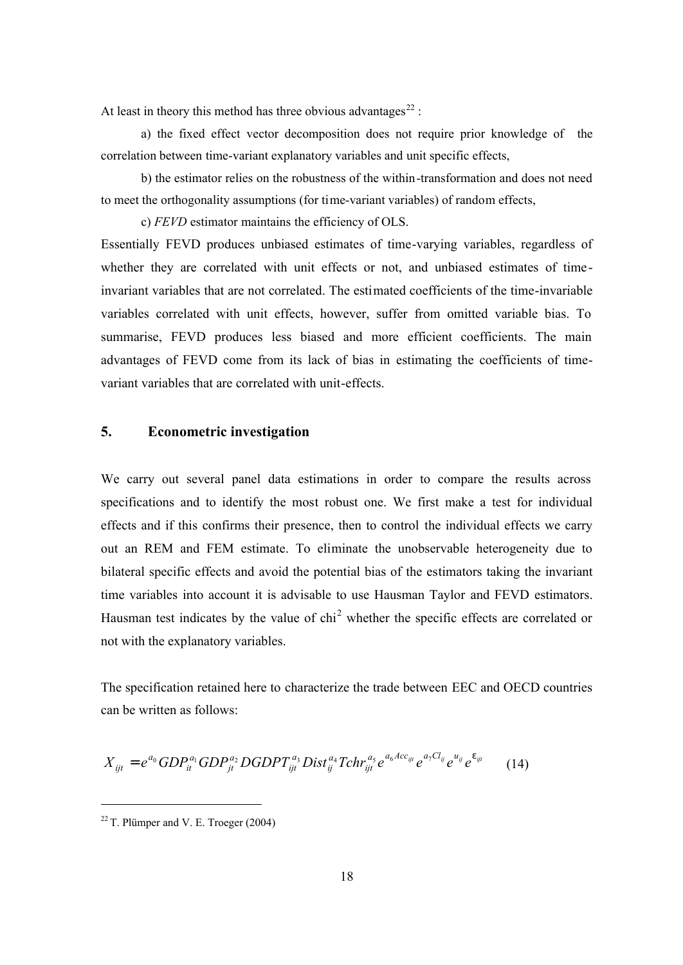At least in theory this method has three obvious advantages<sup>22</sup> :

a) the fixed effect vector decomposition does not require prior knowledge of the correlation between time-variant explanatory variables and unit specific effects,

b) the estimator relies on the robustness of the within-transformation and does not need to meet the orthogonality assumptions (for time-variant variables) of random effects,

c) *FEVD* estimator maintains the efficiency of OLS.

Essentially FEVD produces unbiased estimates of time-varying variables, regardless of whether they are correlated with unit effects or not, and unbiased estimates of timeinvariant variables that are not correlated. The estimated coefficients of the time-invariable variables correlated with unit effects, however, suffer from omitted variable bias. To summarise, FEVD produces less biased and more efficient coefficients. The main advantages of FEVD come from its lack of bias in estimating the coefficients of timevariant variables that are correlated with unit-effects.

## **5. Econometric investigation**

We carry out several panel data estimations in order to compare the results across specifications and to identify the most robust one. We first make a test for individual effects and if this confirms their presence, then to control the individual effects we carry out an REM and FEM estimate. To eliminate the unobservable heterogeneity due to bilateral specific effects and avoid the potential bias of the estimators taking the invariant time variables into account it is advisable to use Hausman Taylor and FEVD estimators. Hausman test indicates by the value of  $\text{chi}^2$  whether the specific effects are correlated or not with the explanatory variables.

The specification retained here to characterize the trade between EEC and OECD countries can be written as follows:

$$
X_{ijt} = e^{a_0} GDP_{it}^{a_1} GDP_{jt}^{a_2} DGDP T_{ijt}^{a_3} Dist_{ij}^{a_4} Tchr_{ijt}^{a_5} e^{a_6 Acc_{ijt}} e^{a_7 Cl_{ij}} e^{u_{ij}} e^{e_{ijt}} \qquad (14)
$$

 $22$  T. Plümper and V. E. Troeger (2004)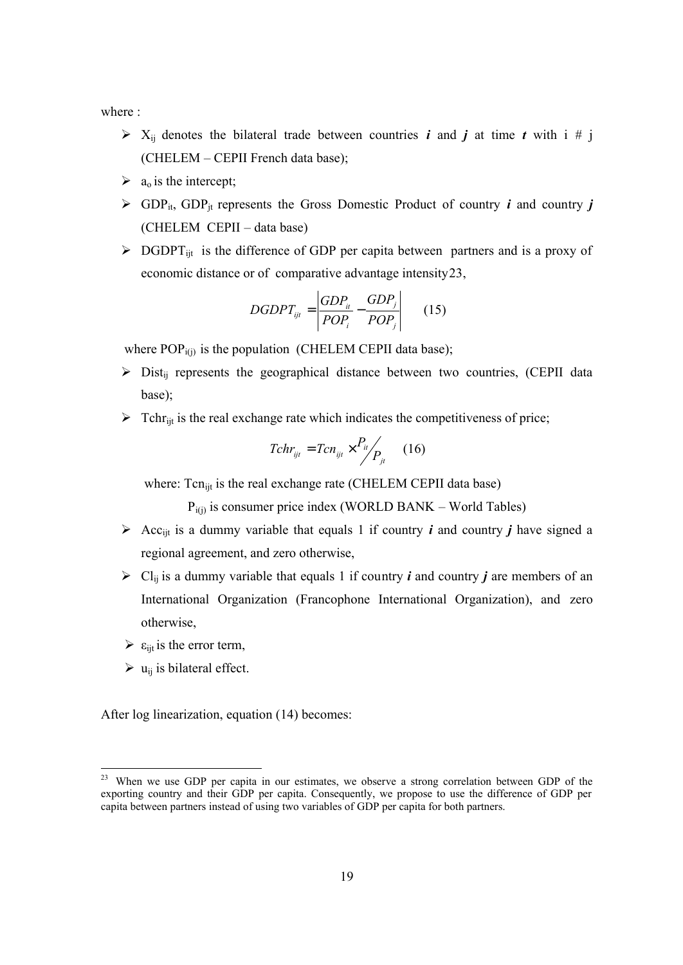where :

- $\triangleright$  X<sub>ij</sub> denotes the bilateral trade between countries *i* and *j* at time *t* with i # j (CHELEM – CEPII French data base);
- $\triangleright$  a<sub>o</sub> is the intercept;
- $\triangleright$  GDP<sub>it</sub>, GDP<sub>it</sub> represents the Gross Domestic Product of country *i* and country *j* (CHELEM CEPII – data base)
- $\triangleright$  DGDPT<sub>ijt</sub> is the difference of GDP per capita between partners and is a proxy of economic distance or of comparative advantage intensity23,

$$
DGDPT_{ijt} = \left| \frac{GDP_{it}}{POP_i} - \frac{GDP_j}{POP_j} \right| \qquad (15)
$$

where  $POP_{i(j)}$  is the population (CHELEM CEPII data base);

- $\triangleright$  Dist<sub>ij</sub> represents the geographical distance between two countries, (CEPII data base);
- $\triangleright$  Tchr<sub>it</sub> is the real exchange rate which indicates the competitiveness of price;

$$
Tchr_{ijt} = Tcn_{ijt} \times \frac{P_{it}}{P_{jt}} \qquad (16)
$$

where: Tcn<sub>ijt</sub> is the real exchange rate (CHELEM CEPII data base)

 $P_{i(i)}$  is consumer price index (WORLD BANK – World Tables)

- $\triangleright$  Acc<sub>ijt</sub> is a dummy variable that equals 1 if country *i* and country *j* have signed a regional agreement, and zero otherwise,
- $\triangleright$  Cl<sub>ij</sub> is a dummy variable that equals 1 if country *i* and country *j* are members of an International Organization (Francophone International Organization), and zero otherwise,
- $\triangleright$   $\varepsilon$ <sub>ijt</sub> is the error term,
- $\triangleright$  u<sub>ij</sub> is bilateral effect.

-

After log linearization, equation (14) becomes:

When we use GDP per capita in our estimates, we observe a strong correlation between GDP of the exporting country and their GDP per capita. Consequently, we propose to use the difference of GDP per capita between partners instead of using two variables of GDP per capita for both partners.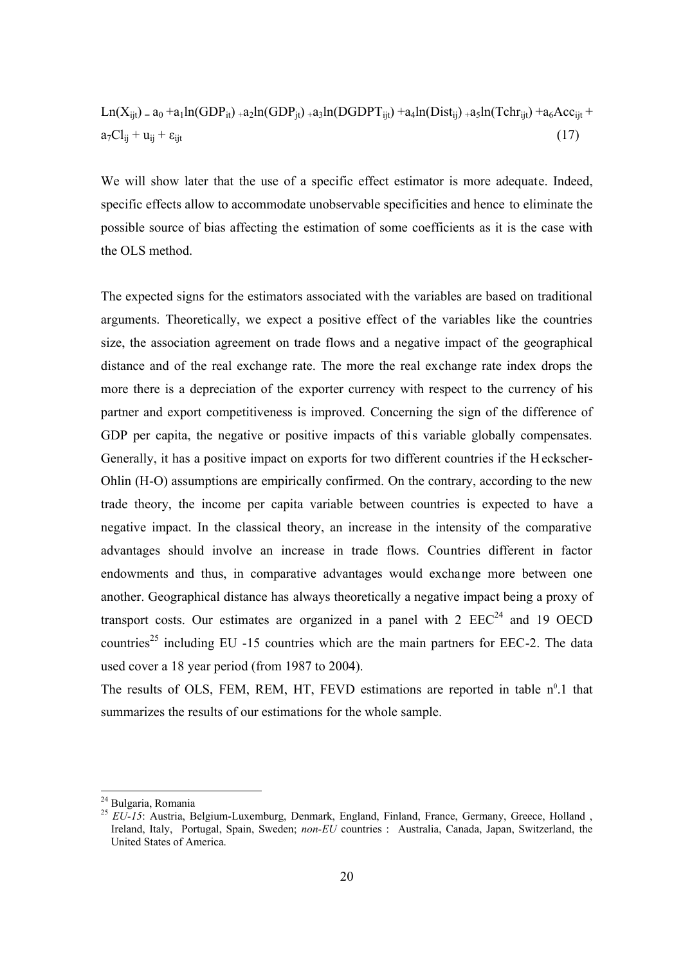$$
Ln(X_{ijt}) = a_0 + a_1 ln(GDP_{it}) + a_2 ln(GDP_{jt}) + a_3 ln(DGDPT_{ijt}) + a_4 ln(Dist_{ij}) + a_5 ln(Tchr_{ijt}) + a_6 Acc_{ijt} + a_7 Cl_{ij} + u_{ij} + \varepsilon_{ijt}
$$
\n(17)

We will show later that the use of a specific effect estimator is more adequate. Indeed, specific effects allow to accommodate unobservable specificities and hence to eliminate the possible source of bias affecting the estimation of some coefficients as it is the case with the OLS method.

The expected signs for the estimators associated with the variables are based on traditional arguments. Theoretically, we expect a positive effect of the variables like the countries size, the association agreement on trade flows and a negative impact of the geographical distance and of the real exchange rate. The more the real exchange rate index drops the more there is a depreciation of the exporter currency with respect to the currency of his partner and export competitiveness is improved. Concerning the sign of the difference of GDP per capita, the negative or positive impacts of this variable globally compensates. Generally, it has a positive impact on exports for two different countries if the H eckscher-Ohlin (H-O) assumptions are empirically confirmed. On the contrary, according to the new trade theory, the income per capita variable between countries is expected to have a negative impact. In the classical theory, an increase in the intensity of the comparative advantages should involve an increase in trade flows. Countries different in factor endowments and thus, in comparative advantages would exchange more between one another. Geographical distance has always theoretically a negative impact being a proxy of transport costs. Our estimates are organized in a panel with  $2 \text{ EEC}^{24}$  and 19 OECD countries<sup>25</sup> including EU -15 countries which are the main partners for EEC-2. The data used cover a 18 year period (from 1987 to 2004).

The results of OLS, FEM, REM, HT, FEVD estimations are reported in table  $n^0.1$  that summarizes the results of our estimations for the whole sample.

<sup>&</sup>lt;sup>24</sup> Bulgaria, Romania

<sup>&</sup>lt;sup>25</sup> EU-15: Austria, Belgium-Luxemburg, Denmark, England, Finland, France, Germany, Greece, Holland, Ireland, Italy, Portugal, Spain, Sweden; *non-EU* countries : Australia, Canada, Japan, Switzerland, the United States of America.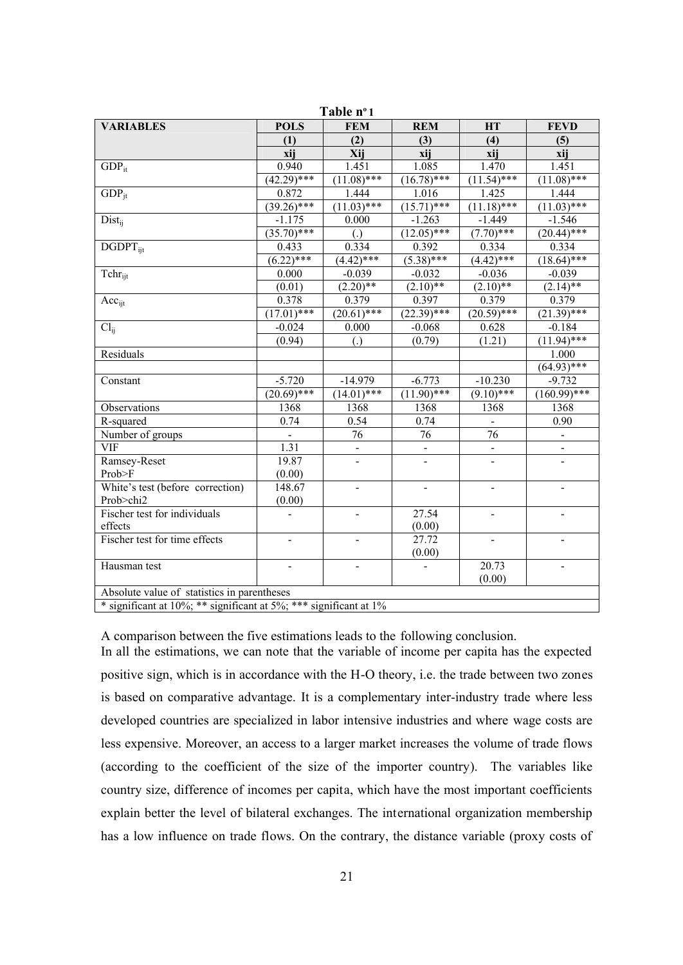| Table nº1                                   |                 |                          |                |                |                              |
|---------------------------------------------|-----------------|--------------------------|----------------|----------------|------------------------------|
| <b>VARIABLES</b>                            | <b>POLS</b>     | <b>FEM</b>               | <b>REM</b>     | <b>HT</b>      | <b>FEVD</b>                  |
|                                             | (1)             | (2)                      | (3)            | (4)            | (5)                          |
|                                             | xij             | Xij                      | xij            | xij            | xij                          |
| $GDP_{it}$                                  | 0.940           | 1.451                    | 1.085          | 1.470          | 1.451                        |
|                                             | $(42.29)$ ***   | $(11.08)$ ***            | $(16.78)$ ***  | $(11.54)$ ***  | $(11.08)$ ***                |
| $GDP_{it}$                                  | 0.872           | 1.444                    | 1.016          | 1.425          | 1.444                        |
|                                             | $(39.26)$ ***   | $(11.03)$ ***            | $(15.71)$ ***  | $(11.18)$ ***  | $(11.03)$ ***                |
| $Dist_{ii}$                                 | $-1.175$        | 0.000                    | $-1.263$       | $-1.449$       | $-1.546$                     |
|                                             | $(35.70)$ ***   | $\left( .\right)$        | $(12.05)$ ***  | $(7.70)$ ***   | $(20.44)$ ***                |
| $DGDPT_{iit}$                               | 0.433           | 0.334                    | 0.392          | 0.334          | 0.334                        |
|                                             | $(6.22)$ ***    | $(4.42)$ ***             | $(5.38)$ ***   | $(4.42)$ ***   | $(18.64)$ ***                |
| Tchr <sub>it</sub>                          | 0.000           | $-0.039$                 | $-0.032$       | $-0.036$       | $-0.039$                     |
|                                             | (0.01)          | $(2.20)*$                | $(2.10)*$      | $(2.10)*$      | $(2.14)$ **                  |
| Acc <sub>ijt</sub>                          | 0.378           | 0.379                    | 0.397          | 0.379          | 0.379                        |
|                                             | $(17.01)^{***}$ | $(20.61)^{***}$          | $(22.39)$ ***  | $(20.59)$ ***  | $(21.39)$ ***                |
| $Cl_{ii}$                                   | $-0.024$        | 0.000                    | $-0.068$       | 0.628          | $-0.184$                     |
|                                             | (0.94)          | $\left( .\right)$        | (0.79)         | (1.21)         | $(11.94)$ ***                |
| Residuals                                   |                 |                          |                |                | 1.000                        |
|                                             |                 |                          |                |                | $(64.93)$ ***                |
| Constant                                    | $-5.720$        | $-14.979$                | $-6.773$       | $-10.230$      | $-9.732$                     |
|                                             | $(20.69)$ ***   | $(14.01)$ ***            | $(11.90)$ ***  | $(9.10)$ ***   | $(160.99)$ ***               |
| Observations                                | 1368            | 1368                     | 1368           | 1368           | 1368                         |
| R-squared                                   | 0.74            | 0.54                     | 0.74           |                | 0.90                         |
| Number of groups                            |                 | 76                       | 76             | 76             | $\blacksquare$               |
| <b>VIF</b>                                  | 1.31            | $\blacksquare$           | $\blacksquare$ | $\blacksquare$ | $\qquad \qquad \blacksquare$ |
| Ramsey-Reset                                | 19.87           | $\overline{\phantom{a}}$ | $\blacksquare$ | $\blacksquare$ | $\blacksquare$               |
| Prob>F                                      | (0.00)          |                          |                |                |                              |
| White's test (before correction)            | 148.67          | $\frac{1}{2}$            | $\blacksquare$ | $\blacksquare$ | $\overline{a}$               |
| Prob>chi2                                   | (0.00)          |                          |                |                |                              |
| Fischer test for individuals                |                 | $\overline{a}$           | 27.54          | $\blacksquare$ | $\blacksquare$               |
| effects                                     |                 |                          | (0.00)         |                |                              |
| Fischer test for time effects               | ÷,              |                          | 27.72          | $\blacksquare$ | $\blacksquare$               |
|                                             |                 |                          | (0.00)         |                |                              |
| Hausman test                                | ٠               | ÷                        |                | 20.73          |                              |
|                                             |                 |                          |                | (0.00)         |                              |
| Absolute value of statistics in parentheses |                 |                          |                |                |                              |
| $4.1.001$ $44.001$ $44.001$                 | 1.11707.444     | $\sim$<br>10/            |                |                |                              |

 $*$  significant at 10%; \*\* significant at 5%; \*\*\* significant at 1%

A comparison between the five estimations leads to the following conclusion. In all the estimations, we can note that the variable of income per capita has the expected positive sign, which is in accordance with the H-O theory, i.e. the trade between two zones is based on comparative advantage. It is a complementary inter-industry trade where less developed countries are specialized in labor intensive industries and where wage costs are less expensive. Moreover, an access to a larger market increases the volume of trade flows (according to the coefficient of the size of the importer country). The variables like country size, difference of incomes per capita, which have the most important coefficients explain better the level of bilateral exchanges. The international organization membership has a low influence on trade flows. On the contrary, the distance variable (proxy costs of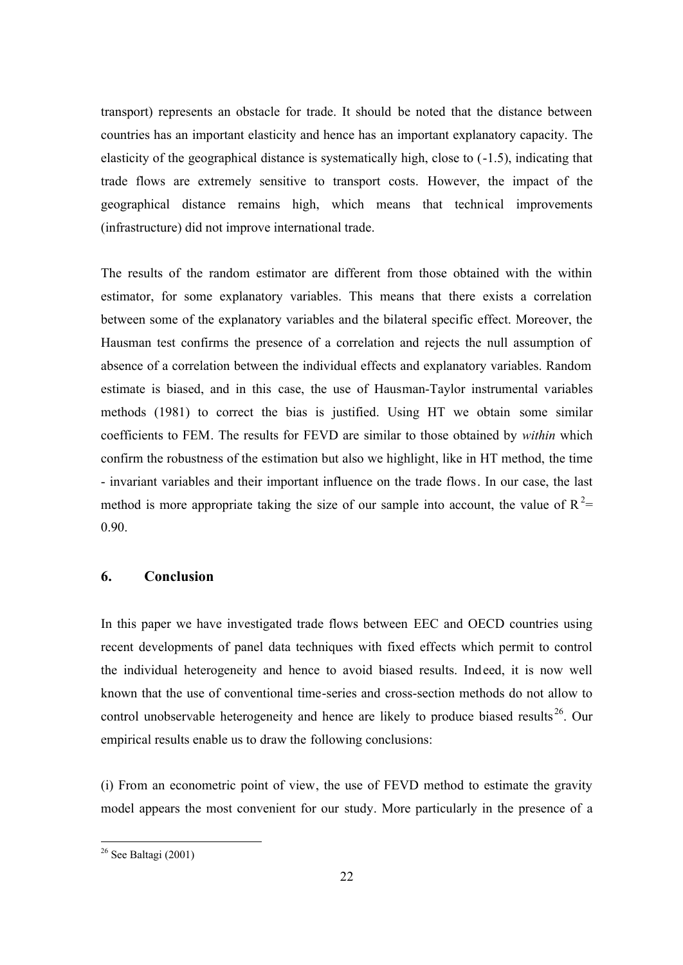transport) represents an obstacle for trade. It should be noted that the distance between countries has an important elasticity and hence has an important explanatory capacity. The elasticity of the geographical distance is systematically high, close to (-1.5), indicating that trade flows are extremely sensitive to transport costs. However, the impact of the geographical distance remains high, which means that technical improvements (infrastructure) did not improve international trade.

The results of the random estimator are different from those obtained with the within estimator, for some explanatory variables. This means that there exists a correlation between some of the explanatory variables and the bilateral specific effect. Moreover, the Hausman test confirms the presence of a correlation and rejects the null assumption of absence of a correlation between the individual effects and explanatory variables. Random estimate is biased, and in this case, the use of Hausman-Taylor instrumental variables methods (1981) to correct the bias is justified. Using HT we obtain some similar coefficients to FEM. The results for FEVD are similar to those obtained by *within* which confirm the robustness of the estimation but also we highlight, like in HT method, the time - invariant variables and their important influence on the trade flows. In our case, the last method is more appropriate taking the size of our sample into account, the value of  $R^2$ = 0.90.

## **6. Conclusion**

In this paper we have investigated trade flows between EEC and OECD countries using recent developments of panel data techniques with fixed effects which permit to control the individual heterogeneity and hence to avoid biased results. Indeed, it is now well known that the use of conventional time-series and cross-section methods do not allow to control unobservable heterogeneity and hence are likely to produce biased results  $26$ . Our empirical results enable us to draw the following conclusions:

(i) From an econometric point of view, the use of FEVD method to estimate the gravity model appears the most convenient for our study. More particularly in the presence of a

 $26$  See Baltagi (2001)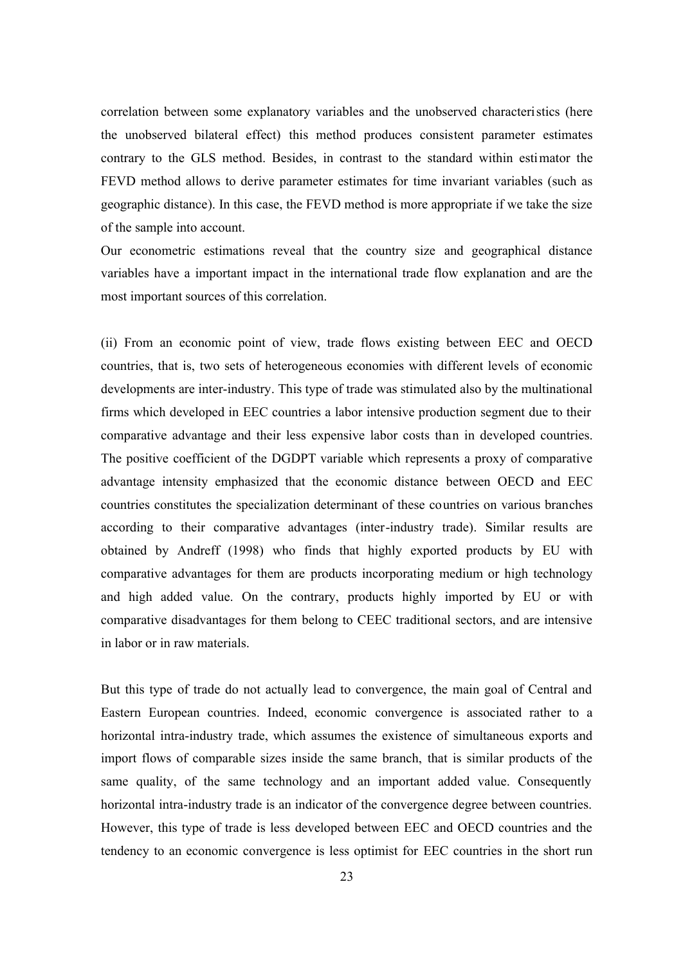correlation between some explanatory variables and the unobserved characteristics (here the unobserved bilateral effect) this method produces consistent parameter estimates contrary to the GLS method. Besides, in contrast to the standard within estimator the FEVD method allows to derive parameter estimates for time invariant variables (such as geographic distance). In this case, the FEVD method is more appropriate if we take the size of the sample into account.

Our econometric estimations reveal that the country size and geographical distance variables have a important impact in the international trade flow explanation and are the most important sources of this correlation.

(ii) From an economic point of view, trade flows existing between EEC and OECD countries, that is, two sets of heterogeneous economies with different levels of economic developments are inter-industry. This type of trade was stimulated also by the multinational firms which developed in EEC countries a labor intensive production segment due to their comparative advantage and their less expensive labor costs than in developed countries. The positive coefficient of the DGDPT variable which represents a proxy of comparative advantage intensity emphasized that the economic distance between OECD and EEC countries constitutes the specialization determinant of these countries on various branches according to their comparative advantages (inter-industry trade). Similar results are obtained by Andreff (1998) who finds that highly exported products by EU with comparative advantages for them are products incorporating medium or high technology and high added value. On the contrary, products highly imported by EU or with comparative disadvantages for them belong to CEEC traditional sectors, and are intensive in labor or in raw materials.

But this type of trade do not actually lead to convergence, the main goal of Central and Eastern European countries. Indeed, economic convergence is associated rather to a horizontal intra-industry trade, which assumes the existence of simultaneous exports and import flows of comparable sizes inside the same branch, that is similar products of the same quality, of the same technology and an important added value. Consequently horizontal intra-industry trade is an indicator of the convergence degree between countries. However, this type of trade is less developed between EEC and OECD countries and the tendency to an economic convergence is less optimist for EEC countries in the short run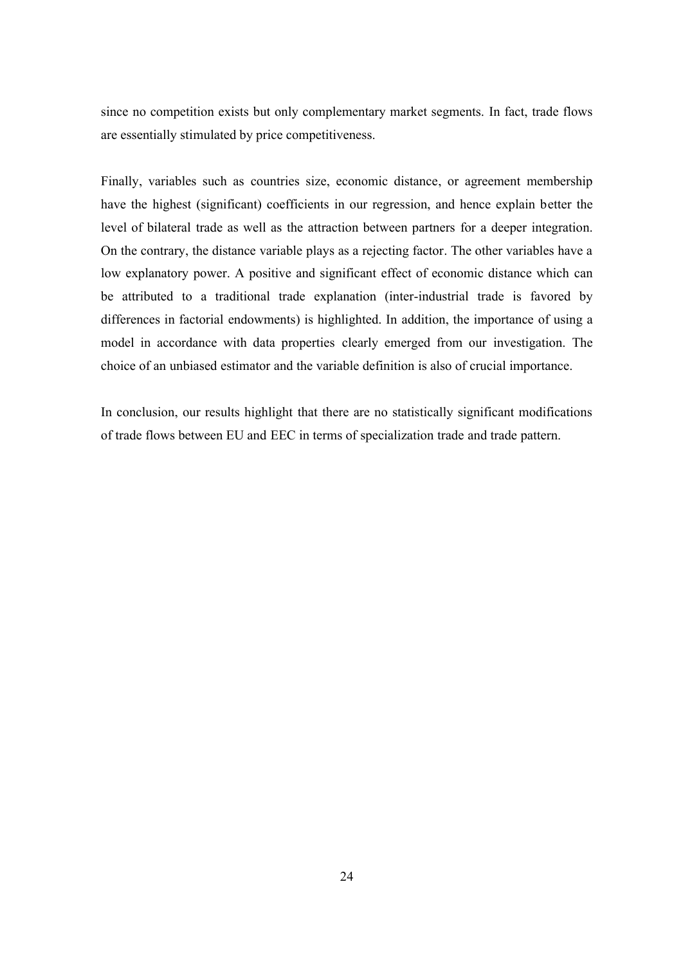since no competition exists but only complementary market segments. In fact, trade flows are essentially stimulated by price competitiveness.

Finally, variables such as countries size, economic distance, or agreement membership have the highest (significant) coefficients in our regression, and hence explain better the level of bilateral trade as well as the attraction between partners for a deeper integration. On the contrary, the distance variable plays as a rejecting factor. The other variables have a low explanatory power. A positive and significant effect of economic distance which can be attributed to a traditional trade explanation (inter-industrial trade is favored by differences in factorial endowments) is highlighted. In addition, the importance of using a model in accordance with data properties clearly emerged from our investigation. The choice of an unbiased estimator and the variable definition is also of crucial importance.

In conclusion, our results highlight that there are no statistically significant modifications of trade flows between EU and EEC in terms of specialization trade and trade pattern.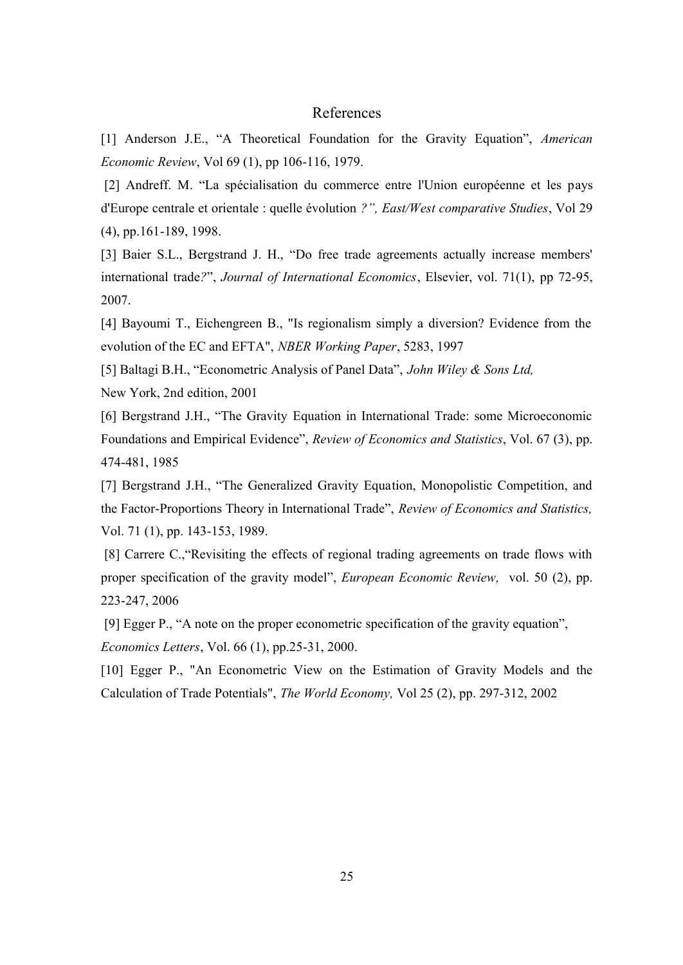## References

[1] Anderson J.E., "A Theoretical Foundation for the Gravity Equation", *American Economic Review*, Vol 69 (1), pp 106-116, 1979.

[2] Andreff. M. "La spécialisation du commerce entre l'Union européenne et les pays d'Europe centrale et orientale : quelle évolution *?", East/West comparative Studies*, Vol 29 (4), pp.161-189, 1998.

[3] Baier S.L., Bergstrand J. H., "Do free trade agreements actually increase members' international trade*?*", *Journal of International Economics*, Elsevier, vol. 71(1), pp 72-95, 2007.

[4] Bayoumi T., Eichengreen B., "Is regionalism simply a diversion? Evidence from the evolution of the EC and EFTA", *NBER Working Paper*, 5283, 1997

[5] Baltagi B.H., "Econometric Analysis of Panel Data", *John Wiley & Sons Ltd,*

New York, 2nd edition, 2001

[6] Bergstrand J.H., "The Gravity Equation in International Trade: some Microeconomic Foundations and Empirical Evidence", *Review of Economics and Statistics*, Vol. 67 (3), pp. 474-481, 1985

[7] Bergstrand J.H., "The Generalized Gravity Equation, Monopolistic Competition, and the Factor-Proportions Theory in International Trade", *Review of Economics and Statistics,*  Vol. 71 (1), pp. 143-153, 1989.

[8] Carrere C., "Revisiting the effects of regional trading agreements on trade flows with proper specification of the gravity model", *European Economic Review,* vol. 50 (2), pp. 223-247, 2006

[9] Egger P., "A note on the proper econometric specification of the gravity equation", *Economics Letters*, Vol. 66 (1), pp.25-31, 2000.

[10] Egger P., "An Econometric View on the Estimation of Gravity Models and the Calculation of Trade Potentials", *The World Economy,* Vol 25 (2), pp. 297-312, 2002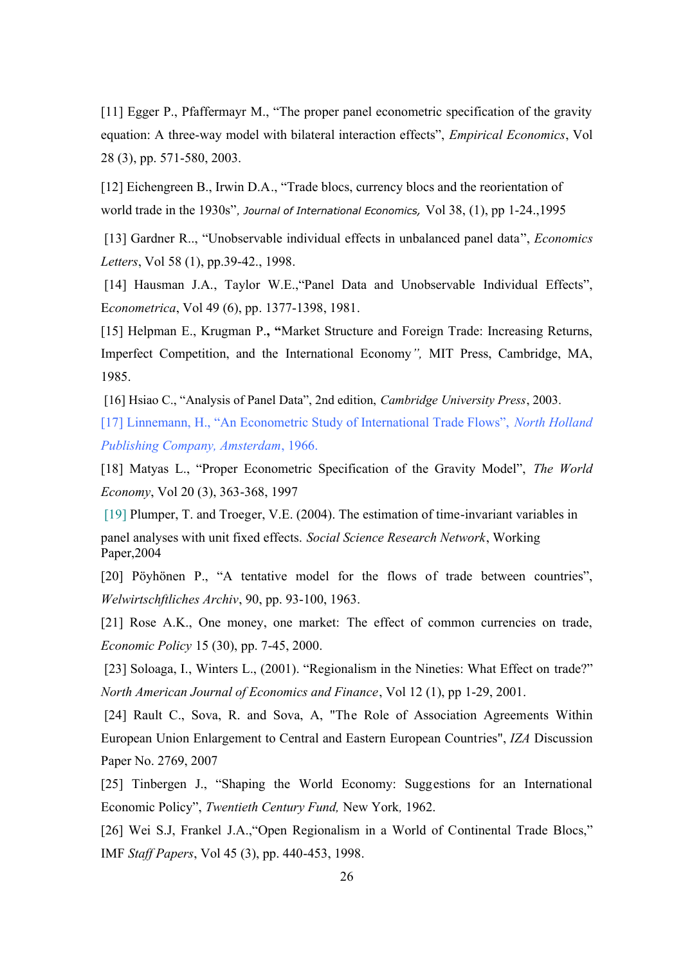[11] Egger P., Pfaffermayr M., "The proper panel econometric specification of the gravity equation: A three-way model with bilateral interaction effects", *Empirical Economics*, Vol 28 (3), pp. 571-580, 2003.

[12] Eichengreen B., Irwin D.A., "Trade blocs, currency blocs and the reorientation of world trade in the 1930s"*, Journal of International Economics,* Vol 38, (1), pp 1-24.,1995

[13] Gardner R.., "Unobservable individual effects in unbalanced panel data", *Economics Letters*, Vol 58 (1), pp.39-42., 1998.

[14] Hausman J.A., Taylor W.E., 'Panel Data and Unobservable Individual Effects'', E*conometrica*, Vol 49 (6), pp. 1377-1398, 1981.

[15] Helpman E., Krugman P.**, "**Market Structure and Foreign Trade: Increasing Returns, Imperfect Competition, and the International Economy*",* MIT Press, Cambridge, MA, 1985.

[16] Hsiao C., "Analysis of Panel Data", 2nd edition, *Cambridge University Press*, 2003.

[17] Linnemann, H., "An Econometric Study of International Trade Flows", *North Holland Publishing Company, Amsterdam*, 1966.

[18] Matyas L., "Proper Econometric Specification of the Gravity Model", *The World Economy*, Vol 20 (3), 363-368, 1997

[19] Plumper, T. and Troeger, V.E. (2004). The estimation of time-invariant variables in panel analyses with unit fixed effects. *Social Science Research Network*, Working Paper,2004

[20] Pöyhönen P., "A tentative model for the flows of trade between countries", *Welwirtschftliches Archiv*, 90, pp. 93-100, 1963.

[21] Rose A.K., One money, one market: The effect of common currencies on trade, *Economic Policy* 15 (30), pp. 7-45, 2000.

[23] Soloaga, I., Winters L., (2001). "Regionalism in the Nineties: What Effect on trade?" *North American Journal of Economics and Finance*, Vol 12 (1), pp 1-29, 2001.

[24] Rault C., Sova, R. and Sova, A, "The Role of Association Agreements Within European Union Enlargement to Central and Eastern European Countries", *IZA* Discussion Paper No. 2769, 2007

[25] Tinbergen J., "Shaping the World Economy: Suggestions for an International Economic Policy", *Twentieth Century Fund,* New York*,* 1962.

[26] Wei S.J, Frankel J.A.,"Open Regionalism in a World of Continental Trade Blocs," IMF *Staff Papers*, Vol 45 (3), pp. 440-453, 1998.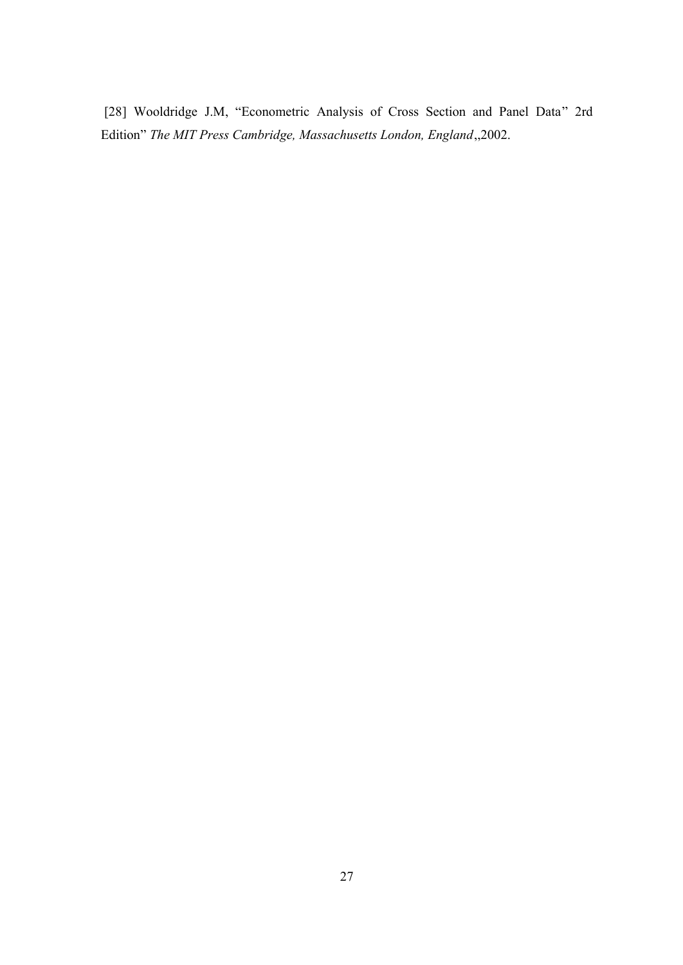[28] Wooldridge J.M, "Econometric Analysis of Cross Section and Panel Data" 2rd Edition" *The MIT Press Cambridge, Massachusetts London, England*,,2002.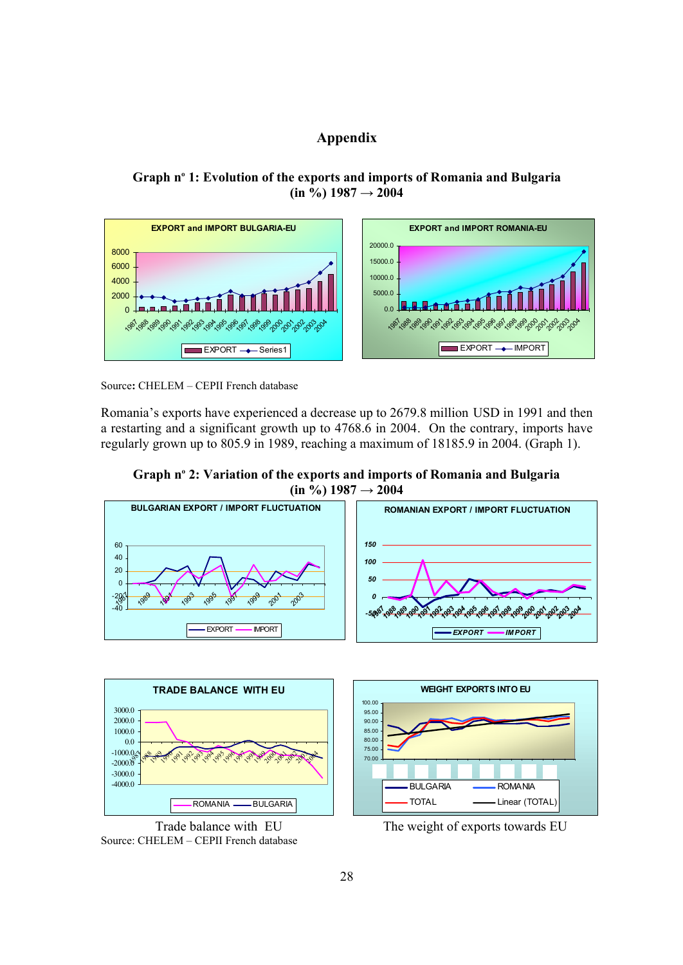# **Appendix**

# **Graph n o 1: Evolution of the exports and imports of Romania and Bulgaria**  $(\text{in } 9/6)$  1987  $\rightarrow$  2004



Source**:** CHELEM – CEPII French database

Romania's exports have experienced a decrease up to 2679.8 million USD in 1991 and then a restarting and a significant growth up to 4768.6 in 2004. On the contrary, imports have regularly grown up to 805.9 in 1989, reaching a maximum of 18185.9 in 2004. (Graph 1).

**Graph n o 2: Variation of the exports and imports of Romania and Bulgaria**  $(in \frac{9}{6})$  1987  $\rightarrow$  2004





Source: CHELEM – CEPII French database



Trade balance with EU The weight of exports towards EU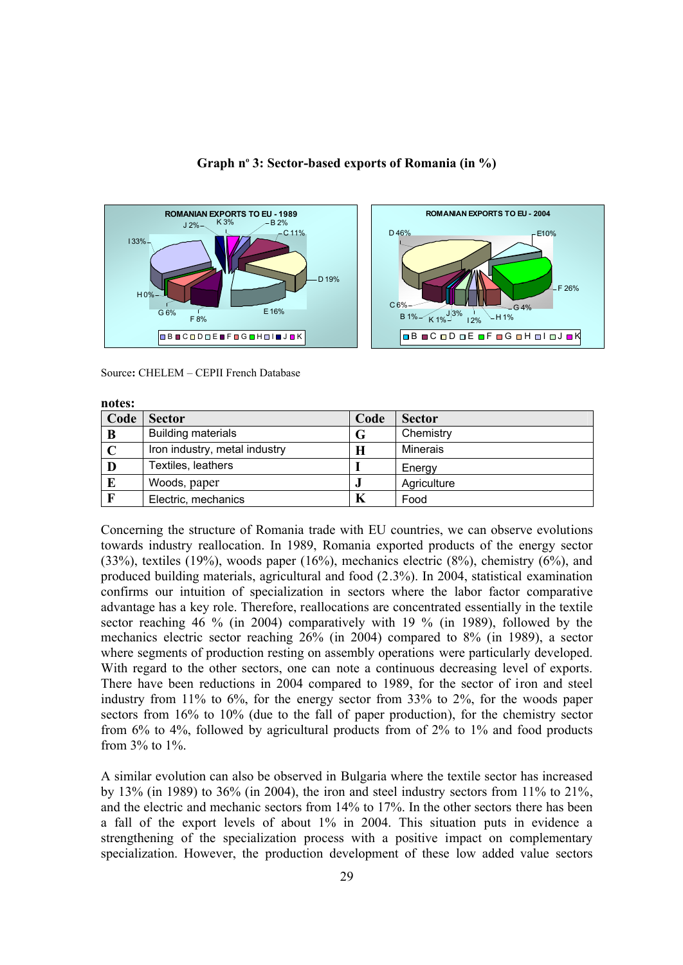

#### **Graph n o 3: Sector-based exports of Romania (in %)**



Source**:** CHELEM – CEPII French Database

| notes:       |                               |      |                 |  |  |
|--------------|-------------------------------|------|-----------------|--|--|
| Code         | <b>Sector</b>                 | Code | <b>Sector</b>   |  |  |
| B            | <b>Building materials</b>     | G    | Chemistry       |  |  |
|              | Iron industry, metal industry | Н    | <b>Minerais</b> |  |  |
| D            | Textiles, leathers            |      | Energy          |  |  |
| $\bf{E}$     | Woods, paper                  |      | Agriculture     |  |  |
| $\mathbf{F}$ | Electric, mechanics           | K    | Food            |  |  |

Concerning the structure of Romania trade with EU countries, we can observe evolutions towards industry reallocation. In 1989, Romania exported products of the energy sector (33%), textiles (19%), woods paper (16%), mechanics electric (8%), chemistry (6%), and produced building materials, agricultural and food (2.3%). In 2004, statistical examination confirms our intuition of specialization in sectors where the labor factor comparative advantage has a key role. Therefore, reallocations are concentrated essentially in the textile sector reaching 46 % (in 2004) comparatively with 19 % (in 1989), followed by the mechanics electric sector reaching 26% (in 2004) compared to 8% (in 1989), a sector where segments of production resting on assembly operations were particularly developed. With regard to the other sectors, one can note a continuous decreasing level of exports. There have been reductions in 2004 compared to 1989, for the sector of iron and steel industry from 11% to 6%, for the energy sector from 33% to 2%, for the woods paper sectors from 16% to 10% (due to the fall of paper production), for the chemistry sector from 6% to 4%, followed by agricultural products from of 2% to 1% and food products from 3% to 1%.

A similar evolution can also be observed in Bulgaria where the textile sector has increased by 13% (in 1989) to 36% (in 2004), the iron and steel industry sectors from 11% to 21%, and the electric and mechanic sectors from 14% to 17%. In the other sectors there has been a fall of the export levels of about 1% in 2004. This situation puts in evidence a strengthening of the specialization process with a positive impact on complementary specialization. However, the production development of these low added value sectors